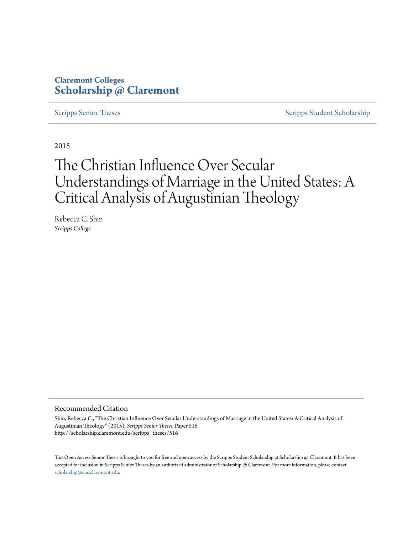## **Claremont Colleges [Scholarship @ Claremont](http://scholarship.claremont.edu)**

[Scripps Senior Theses](http://scholarship.claremont.edu/scripps_theses) [Scripps Student Scholarship](http://scholarship.claremont.edu/scripps_student)

2015

# The Christian Influence Over Secular Understandings of Marriage in the United States: A Critical Analysis of Augustinian Theology

Rebecca C. Shin *Scripps College*

#### Recommended Citation

Shin, Rebecca C., "The Christian Influence Over Secular Understandings of Marriage in the United States: A Critical Analysis of Augustinian Theology" (2015). *Scripps Senior Theses.* Paper 516. http://scholarship.claremont.edu/scripps\_theses/516

This Open Access Senior Thesis is brought to you for free and open access by the Scripps Student Scholarship at Scholarship @ Claremont. It has been accepted for inclusion in Scripps Senior Theses by an authorized administrator of Scholarship @ Claremont. For more information, please contact [scholarship@cuc.claremont.edu.](mailto:scholarship@cuc.claremont.edu)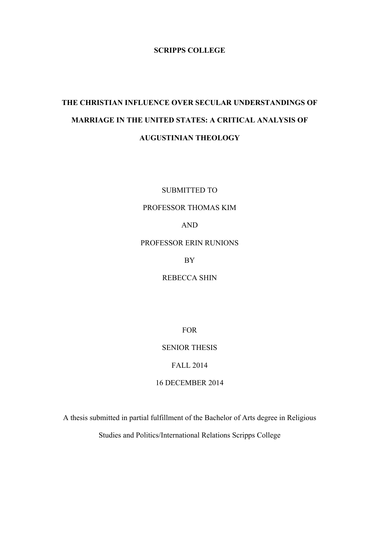## **SCRIPPS COLLEGE**

## **THE CHRISTIAN INFLUENCE OVER SECULAR UNDERSTANDINGS OF MARRIAGE IN THE UNITED STATES: A CRITICAL ANALYSIS OF AUGUSTINIAN THEOLOGY**

SUBMITTED TO

PROFESSOR THOMAS KIM

AND

PROFESSOR ERIN RUNIONS

BY

REBECCA SHIN

FOR

SENIOR THESIS

FALL 2014

16 DECEMBER 2014

A thesis submitted in partial fulfillment of the Bachelor of Arts degree in Religious

Studies and Politics/International Relations Scripps College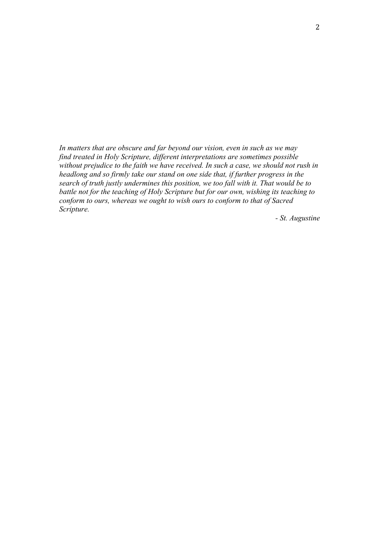*In matters that are obscure and far beyond our vision, even in such as we may find treated in Holy Scripture, different interpretations are sometimes possible without prejudice to the faith we have received. In such a case, we should not rush in headlong and so firmly take our stand on one side that, if further progress in the search of truth justly undermines this position, we too fall with it. That would be to battle not for the teaching of Holy Scripture but for our own, wishing its teaching to conform to ours, whereas we ought to wish ours to conform to that of Sacred Scripture.*

*- St. Augustine*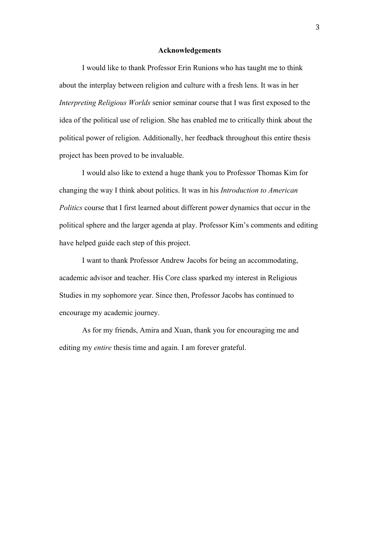#### **Acknowledgements**

I would like to thank Professor Erin Runions who has taught me to think about the interplay between religion and culture with a fresh lens. It was in her *Interpreting Religious Worlds* senior seminar course that I was first exposed to the idea of the political use of religion. She has enabled me to critically think about the political power of religion. Additionally, her feedback throughout this entire thesis project has been proved to be invaluable.

I would also like to extend a huge thank you to Professor Thomas Kim for changing the way I think about politics. It was in his *Introduction to American Politics* course that I first learned about different power dynamics that occur in the political sphere and the larger agenda at play. Professor Kim's comments and editing have helped guide each step of this project.

I want to thank Professor Andrew Jacobs for being an accommodating, academic advisor and teacher. His Core class sparked my interest in Religious Studies in my sophomore year. Since then, Professor Jacobs has continued to encourage my academic journey.

As for my friends, Amira and Xuan, thank you for encouraging me and editing my *entire* thesis time and again. I am forever grateful.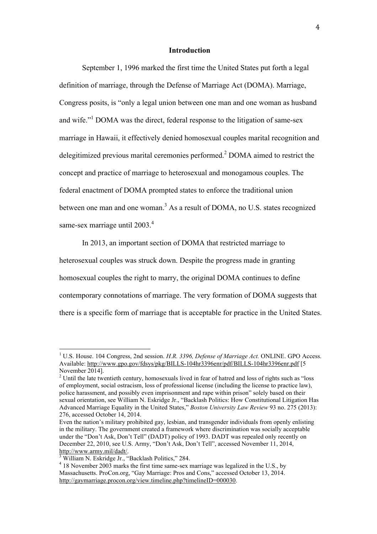#### **Introduction**

September 1, 1996 marked the first time the United States put forth a legal definition of marriage, through the Defense of Marriage Act (DOMA). Marriage, Congress posits, is "only a legal union between one man and one woman as husband and wife."<sup>1</sup> DOMA was the direct, federal response to the litigation of same-sex marriage in Hawaii, it effectively denied homosexual couples marital recognition and delegitimized previous marital ceremonies performed.<sup>2</sup> DOMA aimed to restrict the concept and practice of marriage to heterosexual and monogamous couples. The federal enactment of DOMA prompted states to enforce the traditional union between one man and one woman.<sup>3</sup> As a result of DOMA, no U.S. states recognized same-sex marriage until 2003.<sup>4</sup>

In 2013, an important section of DOMA that restricted marriage to heterosexual couples was struck down. Despite the progress made in granting homosexual couples the right to marry, the original DOMA continues to define contemporary connotations of marriage. The very formation of DOMA suggests that there is a specific form of marriage that is acceptable for practice in the United States.

<sup>&</sup>lt;sup>1</sup> U.S. House. 104 Congress, 2nd session. *H.R. 3396, Defense of Marriage Act.* ONLINE. GPO Access. Available: http://www.gpo.gov/fdsys/pkg/BILLS-104hr3396enr/pdf/BILLS-104hr3396enr.pdf [5 November 2014].

<sup>&</sup>lt;sup>2</sup> Until the late twentieth century, homosexuals lived in fear of hatred and loss of rights such as "loss" of employment, social ostracism, loss of professional license (including the license to practice law), police harassment, and possibly even imprisonment and rape within prison" solely based on their sexual orientation, see William N. Eskridge Jr., "Backlash Politics: How Constitutional Litigation Has Advanced Marriage Equality in the United States," *Boston University Law Review* 93 no. 275 (2013): 276, accessed October 14, 2014.

Even the nation's military prohibited gay, lesbian, and transgender individuals from openly enlisting in the military. The government created a framework where discrimination was socially acceptable under the "Don't Ask, Don't Tell" (DADT) policy of 1993. DADT was repealed only recently on December 22, 2010, see U.S. Army, "Don't Ask, Don't Tell", accessed November 11, 2014, http://www.army.mil/dadt/. <sup>3</sup>

William N. Eskridge Jr., "Backlash Politics," 284.

 $4$  18 November 2003 marks the first time same-sex marriage was legalized in the U.S., by Massachusetts. ProCon.org, "Gay Marriage: Pros and Cons," accessed October 13, 2014. http://gaymarriage.procon.org/view.timeline.php?timelineID=000030.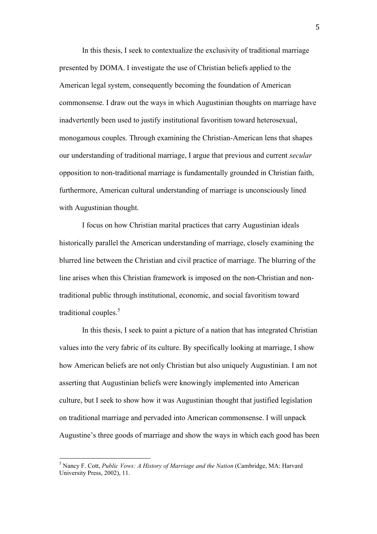In this thesis, I seek to contextualize the exclusivity of traditional marriage presented by DOMA. I investigate the use of Christian beliefs applied to the American legal system, consequently becoming the foundation of American commonsense. I draw out the ways in which Augustinian thoughts on marriage have inadvertently been used to justify institutional favoritism toward heterosexual, monogamous couples. Through examining the Christian-American lens that shapes our understanding of traditional marriage, I argue that previous and current *secular* opposition to non-traditional marriage is fundamentally grounded in Christian faith, furthermore, American cultural understanding of marriage is unconsciously lined with Augustinian thought.

I focus on how Christian marital practices that carry Augustinian ideals historically parallel the American understanding of marriage, closely examining the blurred line between the Christian and civil practice of marriage. The blurring of the line arises when this Christian framework is imposed on the non-Christian and nontraditional public through institutional, economic, and social favoritism toward traditional couples.<sup>5</sup>

In this thesis, I seek to paint a picture of a nation that has integrated Christian values into the very fabric of its culture. By specifically looking at marriage, I show how American beliefs are not only Christian but also uniquely Augustinian. I am not asserting that Augustinian beliefs were knowingly implemented into American culture, but I seek to show how it was Augustinian thought that justified legislation on traditional marriage and pervaded into American commonsense. I will unpack Augustine's three goods of marriage and show the ways in which each good has been

 <sup>5</sup> Nancy F. Cott, *Public Vows: A History of Marriage and the Nation* (Cambridge, MA: Harvard University Press, 2002), 11.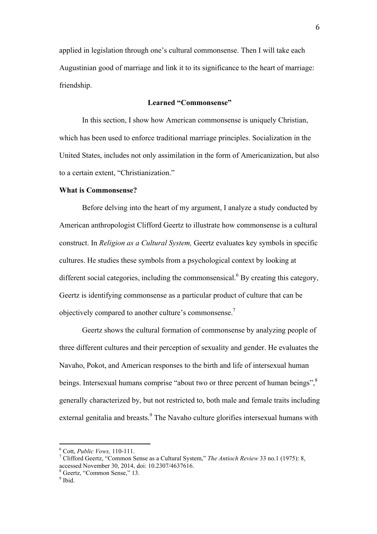applied in legislation through one's cultural commonsense. Then I will take each Augustinian good of marriage and link it to its significance to the heart of marriage: friendship.

## **Learned "Commonsense"**

In this section, I show how American commonsense is uniquely Christian, which has been used to enforce traditional marriage principles. Socialization in the United States, includes not only assimilation in the form of Americanization, but also to a certain extent, "Christianization."

#### **What is Commonsense?**

Before delving into the heart of my argument, I analyze a study conducted by American anthropologist Clifford Geertz to illustrate how commonsense is a cultural construct. In *Religion as a Cultural System,* Geertz evaluates key symbols in specific cultures. He studies these symbols from a psychological context by looking at different social categories, including the commonsensical.<sup>6</sup> By creating this category, Geertz is identifying commonsense as a particular product of culture that can be objectively compared to another culture's commonsense.<sup>7</sup>

Geertz shows the cultural formation of commonsense by analyzing people of three different cultures and their perception of sexuality and gender. He evaluates the Navaho, Pokot, and American responses to the birth and life of intersexual human beings. Intersexual humans comprise "about two or three percent of human beings",<sup>8</sup> generally characterized by, but not restricted to, both male and female traits including external genitalia and breasts.<sup>9</sup> The Navaho culture glorifies intersexual humans with

 $\frac{6 \text{ Cott}}{2 \text{ th}}$  Public Voys 110 111 <sup>6</sup> Cott, *Public Vows,* 110-111.<br><sup>7</sup> Clifford Geertz, "Common S

Clifford Geertz, "Common Sense as a Cultural System," *The Antioch Review* 33 no.1 (1975): 8, accessed November 30, 2014, doi: 10.2307/4637616.

<sup>8</sup> Geertz, "Common Sense," 13.

<sup>&</sup>lt;sup>9</sup> Ibid.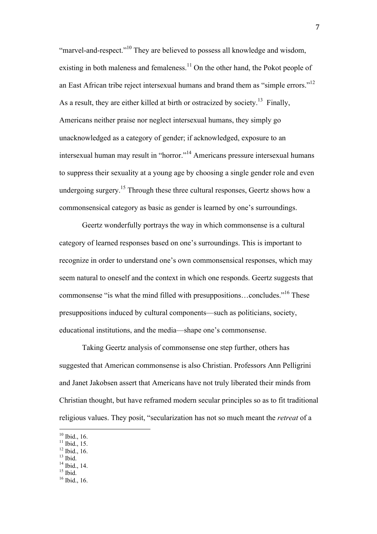"marvel-and-respect."<sup>10</sup> They are believed to possess all knowledge and wisdom, existing in both maleness and femaleness.<sup>11</sup> On the other hand, the Pokot people of an East African tribe reject intersexual humans and brand them as "simple errors."12 As a result, they are either killed at birth or ostracized by society.<sup>13</sup> Finally, Americans neither praise nor neglect intersexual humans, they simply go unacknowledged as a category of gender; if acknowledged, exposure to an intersexual human may result in "horror."14 Americans pressure intersexual humans to suppress their sexuality at a young age by choosing a single gender role and even undergoing surgery.<sup>15</sup> Through these three cultural responses, Geertz shows how a commonsensical category as basic as gender is learned by one's surroundings.

Geertz wonderfully portrays the way in which commonsense is a cultural category of learned responses based on one's surroundings. This is important to recognize in order to understand one's own commonsensical responses, which may seem natural to oneself and the context in which one responds. Geertz suggests that commonsense "is what the mind filled with presuppositions…concludes."16 These presuppositions induced by cultural components—such as politicians, society, educational institutions, and the media—shape one's commonsense.

Taking Geertz analysis of commonsense one step further, others has suggested that American commonsense is also Christian. Professors Ann Pelligrini and Janet Jakobsen assert that Americans have not truly liberated their minds from Christian thought, but have reframed modern secular principles so as to fit traditional religious values. They posit, "secularization has not so much meant the *retreat* of a

 

 $^{12}$  Ibid., 16.  $13$  Ibid.

 $^{14}$  Ibid., 14.<br> $^{15}$  Ibid.

<sup>&</sup>lt;sup>10</sup> Ibid., 16.

 $11$  Ibid., 15.

 $16$  Ibid., 16.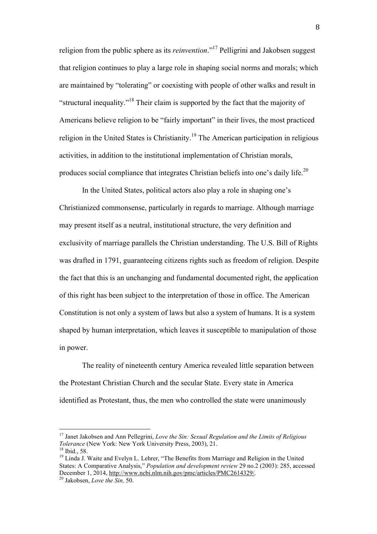religion from the public sphere as its *reinvention*."17 Pelligrini and Jakobsen suggest that religion continues to play a large role in shaping social norms and morals; which are maintained by "tolerating" or coexisting with people of other walks and result in "structural inequality."18 Their claim is supported by the fact that the majority of Americans believe religion to be "fairly important" in their lives, the most practiced religion in the United States is Christianity.<sup>19</sup> The American participation in religious activities, in addition to the institutional implementation of Christian morals, produces social compliance that integrates Christian beliefs into one's daily life.<sup>20</sup>

In the United States, political actors also play a role in shaping one's Christianized commonsense, particularly in regards to marriage. Although marriage may present itself as a neutral, institutional structure, the very definition and exclusivity of marriage parallels the Christian understanding. The U.S. Bill of Rights was drafted in 1791, guaranteeing citizens rights such as freedom of religion. Despite the fact that this is an unchanging and fundamental documented right, the application of this right has been subject to the interpretation of those in office. The American Constitution is not only a system of laws but also a system of humans. It is a system shaped by human interpretation, which leaves it susceptible to manipulation of those in power.

The reality of nineteenth century America revealed little separation between the Protestant Christian Church and the secular State. Every state in America identified as Protestant, thus, the men who controlled the state were unanimously

<sup>17</sup> Janet Jakobsen and Ann Pellegrini, *Love the Sin: Sexual Regulation and the Limits of Religious Tolerance* (New York: New York University Press, 2003), 21. <sup>18</sup> Ibid., 58.

<sup>&</sup>lt;sup>19</sup> Linda J. Waite and Evelyn L. Lehrer, "The Benefits from Marriage and Religion in the United States: A Comparative Analysis," *Population and development review* 29 no.2 (2003): 285, accessed December 1, 2014, <u>http://www.ncbi.nlm.nih.gov/pmc/articles/PMC2614329/</u>.<br><sup>20</sup> Jakobsen, *Love the Sin*, 50.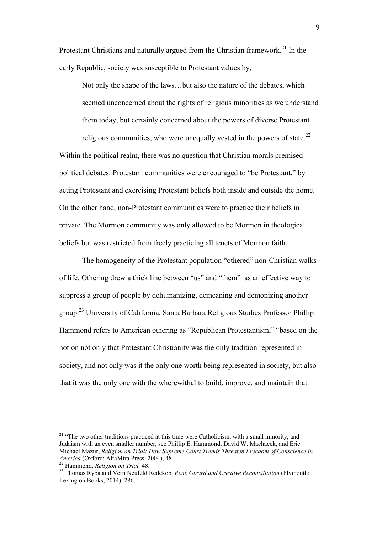Protestant Christians and naturally argued from the Christian framework.<sup>21</sup> In the early Republic, society was susceptible to Protestant values by,

Not only the shape of the laws…but also the nature of the debates, which seemed unconcerned about the rights of religious minorities as we understand them today, but certainly concerned about the powers of diverse Protestant

religious communities, who were unequally vested in the powers of state. $^{22}$ Within the political realm, there was no question that Christian morals premised political debates. Protestant communities were encouraged to "be Protestant," by acting Protestant and exercising Protestant beliefs both inside and outside the home. On the other hand, non-Protestant communities were to practice their beliefs in private. The Mormon community was only allowed to be Mormon in theological beliefs but was restricted from freely practicing all tenets of Mormon faith.

The homogeneity of the Protestant population "othered" non-Christian walks of life. Othering drew a thick line between "us" and "them" as an effective way to suppress a group of people by dehumanizing, demeaning and demonizing another group.23 University of California, Santa Barbara Religious Studies Professor Phillip Hammond refers to American othering as "Republican Protestantism," "based on the notion not only that Protestant Christianity was the only tradition represented in society, and not only was it the only one worth being represented in society, but also that it was the only one with the wherewithal to build, improve, and maintain that

<sup>&</sup>lt;sup>21</sup> "The two other traditions practiced at this time were Catholicism, with a small minority, and Judaism with an even smaller number, see Phillip E. Hammond, David W. Machacek, and Eric Michael Mazur, *Religion on Trial: How Supreme Court Trends Threaten Freedom of Conscience in America* (Oxford: AltaMira Press, 2004), 48.<br><sup>22</sup> Hammond, *Religion on Trial*, 48.

<sup>&</sup>lt;sup>23</sup> Thomas Ryba and Vern Neufeld Redekop, *René Girard and Creative Reconciliation* (Plymouth: Lexington Books, 2014), 286.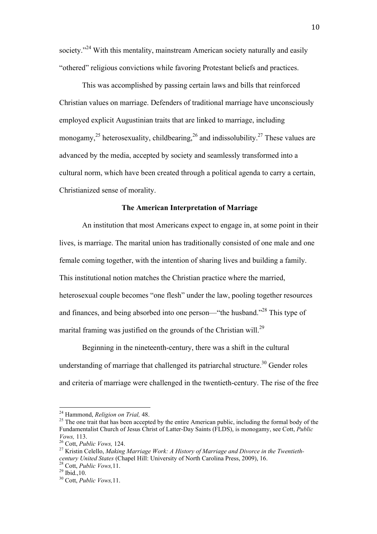society."<sup>24</sup> With this mentality, mainstream American society naturally and easily "othered" religious convictions while favoring Protestant beliefs and practices.

This was accomplished by passing certain laws and bills that reinforced Christian values on marriage. Defenders of traditional marriage have unconsciously employed explicit Augustinian traits that are linked to marriage, including monogamy,<sup>25</sup> heterosexuality, childbearing,  $^{26}$  and indissolubility.<sup>27</sup> These values are advanced by the media, accepted by society and seamlessly transformed into a cultural norm, which have been created through a political agenda to carry a certain, Christianized sense of morality.

## **The American Interpretation of Marriage**

An institution that most Americans expect to engage in, at some point in their lives, is marriage. The marital union has traditionally consisted of one male and one female coming together, with the intention of sharing lives and building a family. This institutional notion matches the Christian practice where the married, heterosexual couple becomes "one flesh" under the law, pooling together resources and finances, and being absorbed into one person—"the husband."<sup>28</sup> This type of marital framing was justified on the grounds of the Christian will.<sup>29</sup>

Beginning in the nineteenth-century, there was a shift in the cultural understanding of marriage that challenged its patriarchal structure.<sup>30</sup> Gender roles and criteria of marriage were challenged in the twentieth-century. The rise of the free

<sup>&</sup>lt;sup>24</sup> Hammond, *Religion on Trial*, 48.

<sup>&</sup>lt;sup>25</sup> The one trait that has been accepted by the entire American public, including the formal body of the Fundamentalist Church of Jesus Christ of Latter-Day Saints (FLDS), is monogamy, see Cott, *Public Vows,* 113.<br><sup>26</sup> Cott, *Public Vows,* 124.<br><sup>27</sup> Kristin Celello, *Making Marriage Work: A History of Marriage and Divorce in the Twentieth-*

*century United States* (Chapel Hill: University of North Carolina Press, 2009), 16. 28 Cott, *Public Vows,*11. 29 Ibid.,10. 30 Cott, *Public Vows,*11.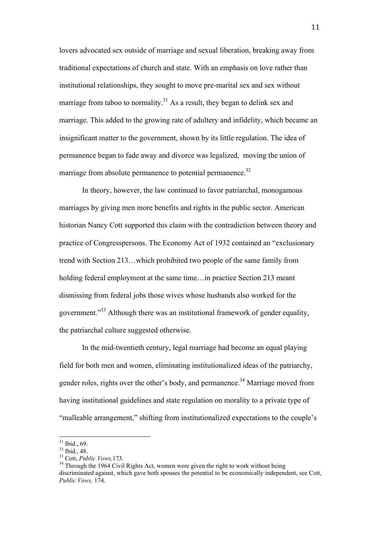lovers advocated sex outside of marriage and sexual liberation, breaking away from traditional expectations of church and state. With an emphasis on love rather than institutional relationships, they sought to move pre-marital sex and sex without marriage from taboo to normality.<sup>31</sup> As a result, they began to delink sex and marriage. This added to the growing rate of adultery and infidelity, which became an insignificant matter to the government, shown by its little regulation. The idea of permanence began to fade away and divorce was legalized, moving the union of marriage from absolute permanence to potential permanence.<sup>32</sup>

In theory, however, the law continued to favor patriarchal, monogamous marriages by giving men more benefits and rights in the public sector. American historian Nancy Cott supported this claim with the contradiction between theory and practice of Congresspersons. The Economy Act of 1932 contained an "exclusionary trend with Section 213…which prohibited two people of the same family from holding federal employment at the same time...in practice Section 213 meant dismissing from federal jobs those wives whose husbands also worked for the government."<sup>33</sup> Although there was an institutional framework of gender equality, the patriarchal culture suggested otherwise.

In the mid-twentieth century, legal marriage had become an equal playing field for both men and women, eliminating institutionalized ideas of the patriarchy, gender roles, rights over the other's body, and permanence.<sup>34</sup> Marriage moved from having institutional guidelines and state regulation on morality to a private type of "malleable arrangement," shifting from institutionalized expectations to the couple's

 31 Ibid., 69.

 $\frac{32 \text{ Ibid., }48.}{33 \text{ Cott, } Public \text{ Vows, }173.}$ 

<sup>&</sup>lt;sup>34</sup> Through the 1964 Civil Rights Act, women were given the right to work without being discriminated against, which gave both spouses the potential to be economically independent, see Cott, *Public Vows,* 174.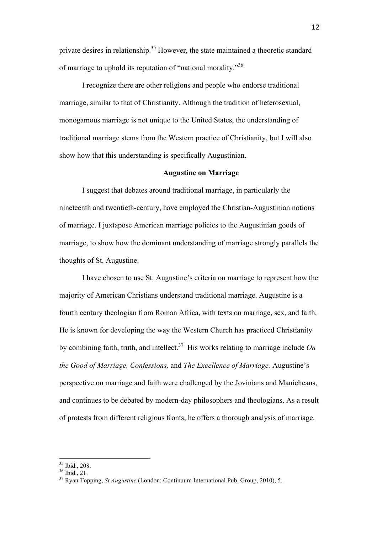private desires in relationship.<sup>35</sup> However, the state maintained a theoretic standard of marriage to uphold its reputation of "national morality."<sup>36</sup>

I recognize there are other religions and people who endorse traditional marriage, similar to that of Christianity. Although the tradition of heterosexual, monogamous marriage is not unique to the United States, the understanding of traditional marriage stems from the Western practice of Christianity, but I will also show how that this understanding is specifically Augustinian.

#### **Augustine on Marriage**

I suggest that debates around traditional marriage, in particularly the nineteenth and twentieth-century, have employed the Christian-Augustinian notions of marriage. I juxtapose American marriage policies to the Augustinian goods of marriage, to show how the dominant understanding of marriage strongly parallels the thoughts of St. Augustine.

I have chosen to use St. Augustine's criteria on marriage to represent how the majority of American Christians understand traditional marriage. Augustine is a fourth century theologian from Roman Africa, with texts on marriage, sex, and faith. He is known for developing the way the Western Church has practiced Christianity by combining faith, truth, and intellect.<sup>37</sup> His works relating to marriage include  $On$ *the Good of Marriage, Confessions,* and *The Excellence of Marriage.* Augustine's perspective on marriage and faith were challenged by the Jovinians and Manicheans, and continues to be debated by modern-day philosophers and theologians. As a result of protests from different religious fronts, he offers a thorough analysis of marriage.

 $35$  Ibid., 208.

 $36$  Ibid., 21.

<sup>37</sup> Ryan Topping, *St Augustine* (London: Continuum International Pub. Group, 2010), 5.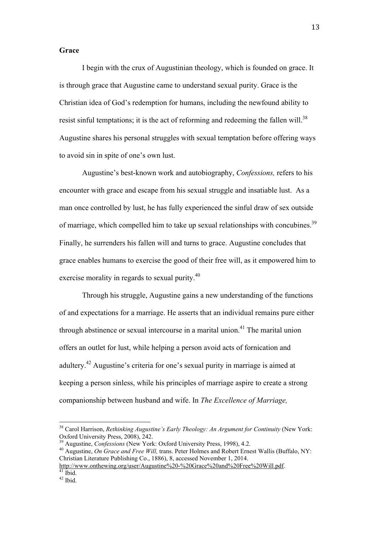#### **Grace**

I begin with the crux of Augustinian theology, which is founded on grace. It is through grace that Augustine came to understand sexual purity. Grace is the Christian idea of God's redemption for humans, including the newfound ability to resist sinful temptations; it is the act of reforming and redeeming the fallen will.<sup>38</sup> Augustine shares his personal struggles with sexual temptation before offering ways to avoid sin in spite of one's own lust.

Augustine's best-known work and autobiography, *Confessions,* refers to his encounter with grace and escape from his sexual struggle and insatiable lust. As a man once controlled by lust, he has fully experienced the sinful draw of sex outside of marriage, which compelled him to take up sexual relationships with concubines.<sup>39</sup> Finally, he surrenders his fallen will and turns to grace. Augustine concludes that grace enables humans to exercise the good of their free will, as it empowered him to exercise morality in regards to sexual purity.<sup>40</sup>

Through his struggle, Augustine gains a new understanding of the functions of and expectations for a marriage. He asserts that an individual remains pure either through abstinence or sexual intercourse in a marital union.<sup>41</sup> The marital union offers an outlet for lust, while helping a person avoid acts of fornication and adultery.42 Augustine's criteria for one's sexual purity in marriage is aimed at keeping a person sinless, while his principles of marriage aspire to create a strong companionship between husband and wife. In *The Excellence of Marriage,* 

<sup>&</sup>lt;sup>38</sup> Carol Harrison, *Rethinking Augustine's Early Theology: An Argument for Continuity* (New York: Oxford University Press, 2008), 242.<br><sup>39</sup> Augustine, *Confessions* (New York: Oxford University Press, 1998), 4.2.

<sup>&</sup>lt;sup>40</sup> Augustine, *On Grace and Free Will*, trans. Peter Holmes and Robert Ernest Wallis (Buffalo, NY: Christian Literature Publishing Co., 1886), 8, accessed November 1, 2014.

http://www.onthewing.org/user/Augustine%20-%20Grace%20and%20Free%20Will.pdf. 41 Ibid.

 $42$  Ibid.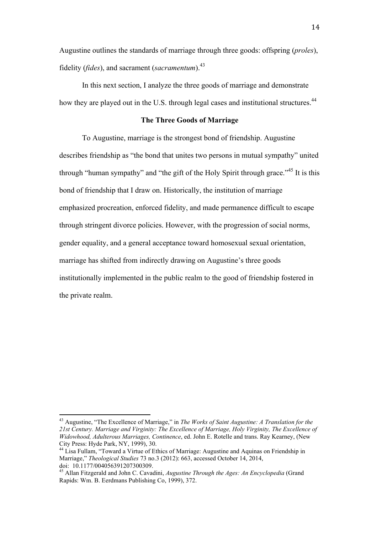Augustine outlines the standards of marriage through three goods: offspring (*proles*), fidelity (*fides*), and sacrament (*sacramentum*).<sup>43</sup>

In this next section, I analyze the three goods of marriage and demonstrate how they are played out in the U.S. through legal cases and institutional structures.<sup>44</sup>

#### **The Three Goods of Marriage**

To Augustine, marriage is the strongest bond of friendship. Augustine describes friendship as "the bond that unites two persons in mutual sympathy" united through "human sympathy" and "the gift of the Holy Spirit through grace."<sup>45</sup> It is this bond of friendship that I draw on. Historically, the institution of marriage emphasized procreation, enforced fidelity, and made permanence difficult to escape through stringent divorce policies. However, with the progression of social norms, gender equality, and a general acceptance toward homosexual sexual orientation, marriage has shifted from indirectly drawing on Augustine's three goods institutionally implemented in the public realm to the good of friendship fostered in the private realm.

 43 Augustine, "The Excellence of Marriage," in *The Works of Saint Augustine: A Translation for the 21st Century. Marriage and Virginity: The Excellence of Marriage, Holy Virginity, The Excellence of Widowhood, Adulterous Marriages, Continence*, ed. John E. Rotelle and trans. Ray Kearney, (New City Press: Hyde Park, NY, 1999), 30. 44 Lisa Fullam, "Toward a Virtue of Ethics of Marriage: Augustine and Aquinas on Friendship in

Marriage," *Theological Studies* 73 no.3 (2012): 663, accessed October 14, 2014,

<sup>&</sup>lt;sup>45</sup> Allan Fitzgerald and John C. Cavadini, *Augustine Through the Ages: An Encyclopedia* (Grand Rapids: Wm. B. Eerdmans Publishing Co, 1999), 372.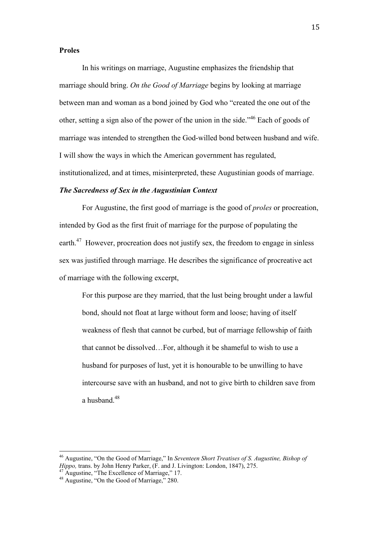#### **Proles**

In his writings on marriage, Augustine emphasizes the friendship that marriage should bring. *On the Good of Marriage* begins by looking at marriage between man and woman as a bond joined by God who "created the one out of the other, setting a sign also of the power of the union in the side."46 Each of goods of marriage was intended to strengthen the God-willed bond between husband and wife. I will show the ways in which the American government has regulated, institutionalized, and at times, misinterpreted, these Augustinian goods of marriage.

## *The Sacredness of Sex in the Augustinian Context*

For Augustine, the first good of marriage is the good of *proles* or procreation, intended by God as the first fruit of marriage for the purpose of populating the earth.<sup>47</sup> However, procreation does not justify sex, the freedom to engage in sinless sex was justified through marriage. He describes the significance of procreative act of marriage with the following excerpt,

For this purpose are they married, that the lust being brought under a lawful bond, should not float at large without form and loose; having of itself weakness of flesh that cannot be curbed, but of marriage fellowship of faith that cannot be dissolved…For, although it be shameful to wish to use a husband for purposes of lust, yet it is honourable to be unwilling to have intercourse save with an husband, and not to give birth to children save from a husband  $48$ 

<sup>46</sup> Augustine, "On the Good of Marriage," In *Seventeen Short Treatises of S. Augustine, Bishop of Hippo, trans. by John Henry Parker, (F. and J. Livington: London, 1847), 275. Augustine, "The Excellence of Marriage," 17.* 

<sup>&</sup>lt;sup>48</sup> Augustine, "On the Good of Marriage," 280.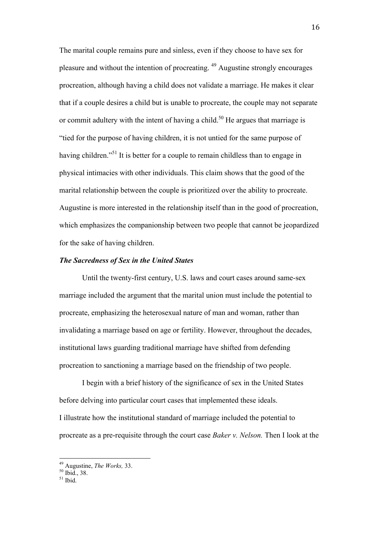The marital couple remains pure and sinless, even if they choose to have sex for pleasure and without the intention of procreating. <sup>49</sup> Augustine strongly encourages procreation, although having a child does not validate a marriage. He makes it clear that if a couple desires a child but is unable to procreate, the couple may not separate or commit adultery with the intent of having a child.<sup>50</sup> He argues that marriage is "tied for the purpose of having children, it is not untied for the same purpose of having children."<sup>51</sup> It is better for a couple to remain childless than to engage in physical intimacies with other individuals. This claim shows that the good of the marital relationship between the couple is prioritized over the ability to procreate. Augustine is more interested in the relationship itself than in the good of procreation, which emphasizes the companionship between two people that cannot be jeopardized for the sake of having children.

## *The Sacredness of Sex in the United States*

Until the twenty-first century, U.S. laws and court cases around same-sex marriage included the argument that the marital union must include the potential to procreate, emphasizing the heterosexual nature of man and woman, rather than invalidating a marriage based on age or fertility. However, throughout the decades, institutional laws guarding traditional marriage have shifted from defending procreation to sanctioning a marriage based on the friendship of two people.

I begin with a brief history of the significance of sex in the United States before delving into particular court cases that implemented these ideals. I illustrate how the institutional standard of marriage included the potential to procreate as a pre-requisite through the court case *Baker v. Nelson.* Then I look at the

<sup>49</sup> Augustine, *The Works*, 33.<br><sup>50</sup> Ibid., 38.

 $51$  Ibid.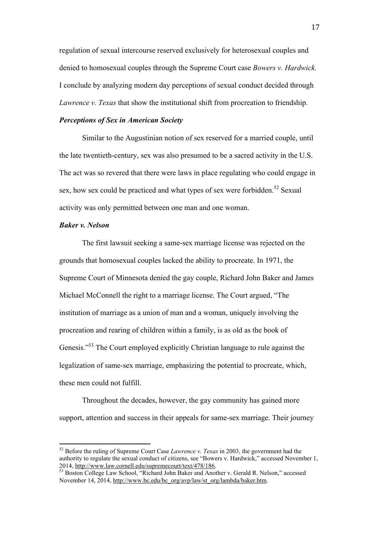regulation of sexual intercourse reserved exclusively for heterosexual couples and denied to homosexual couples through the Supreme Court case *Bowers v. Hardwick.*  I conclude by analyzing modern day perceptions of sexual conduct decided through *Lawrence v. Texas* that show the institutional shift from procreation to friendship.

## *Perceptions of Sex in American Society*

Similar to the Augustinian notion of sex reserved for a married couple, until the late twentieth-century, sex was also presumed to be a sacred activity in the U.S. The act was so revered that there were laws in place regulating who could engage in sex, how sex could be practiced and what types of sex were forbidden.<sup>52</sup> Sexual activity was only permitted between one man and one woman.

## *Baker v. Nelson*

The first lawsuit seeking a same-sex marriage license was rejected on the grounds that homosexual couples lacked the ability to procreate. In 1971, the Supreme Court of Minnesota denied the gay couple, Richard John Baker and James Michael McConnell the right to a marriage license. The Court argued, "The institution of marriage as a union of man and a woman, uniquely involving the procreation and rearing of children within a family, is as old as the book of Genesis."<sup>53</sup> The Court employed explicitly Christian language to rule against the legalization of same-sex marriage, emphasizing the potential to procreate, which, these men could not fulfill.

Throughout the decades, however, the gay community has gained more support, attention and success in their appeals for same-sex marriage. Their journey

 52 Before the ruling of Supreme Court Case *Lawrence v. Texas* in 2003, the government had the authority to regulate the sexual conduct of citizens, see "Bowers v. Hardwick," accessed November 1, 2014, http://www.law.cornell.edu/supremecourt/text/478/186.<br>
<sup>53</sup> Boston College Law School, "Richard John Baker and Another v. Gerald R. Nelson," accessed

November 14, 2014, http://www.bc.edu/bc\_org/avp/law/st\_org/lambda/baker.htm.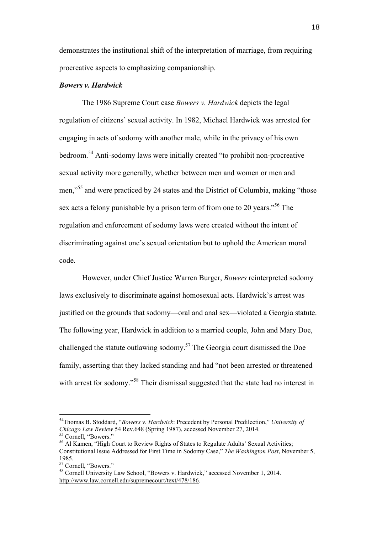demonstrates the institutional shift of the interpretation of marriage, from requiring procreative aspects to emphasizing companionship.

#### *Bowers v. Hardwick*

The 1986 Supreme Court case *Bowers v. Hardwick* depicts the legal regulation of citizens' sexual activity. In 1982, Michael Hardwick was arrested for engaging in acts of sodomy with another male, while in the privacy of his own bedroom.<sup>54</sup> Anti-sodomy laws were initially created "to prohibit non-procreative sexual activity more generally, whether between men and women or men and men,<sup>55</sup> and were practiced by 24 states and the District of Columbia, making "those sex acts a felony punishable by a prison term of from one to 20 years.<sup>56</sup> The regulation and enforcement of sodomy laws were created without the intent of discriminating against one's sexual orientation but to uphold the American moral code.

However, under Chief Justice Warren Burger, *Bowers* reinterpreted sodomy laws exclusively to discriminate against homosexual acts. Hardwick's arrest was justified on the grounds that sodomy—oral and anal sex—violated a Georgia statute. The following year, Hardwick in addition to a married couple, John and Mary Doe, challenged the statute outlawing sodomy. 57 The Georgia court dismissed the Doe family, asserting that they lacked standing and had "not been arrested or threatened with arrest for sodomy."<sup>58</sup> Their dismissal suggested that the state had no interest in

 54Thomas B. Stoddard, "*Bowers v. Hardwick*: Precedent by Personal Predilection," *University of Chicago Law Review* 54 Rev.648 (Spring 1987), accessed November 27, 2014. 55 Cornell, "Bowers."

<sup>56</sup> Al Kamen, "High Court to Review Rights of States to Regulate Adults' Sexual Activities; Constitutional Issue Addressed for First Time in Sodomy Case," *The Washington Post*, November 5, 1985.

<sup>57</sup> Cornell, "Bowers."

<sup>&</sup>lt;sup>58</sup> Cornell University Law School, "Bowers v. Hardwick," accessed November 1, 2014. http://www.law.cornell.edu/supremecourt/text/478/186.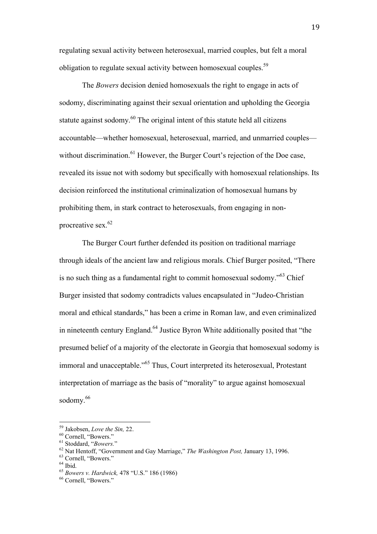regulating sexual activity between heterosexual, married couples, but felt a moral obligation to regulate sexual activity between homosexual couples.<sup>59</sup>

The *Bowers* decision denied homosexuals the right to engage in acts of sodomy, discriminating against their sexual orientation and upholding the Georgia statute against sodomy.<sup>60</sup> The original intent of this statute held all citizens accountable—whether homosexual, heterosexual, married, and unmarried couples without discrimination.<sup>61</sup> However, the Burger Court's rejection of the Doe case, revealed its issue not with sodomy but specifically with homosexual relationships. Its decision reinforced the institutional criminalization of homosexual humans by prohibiting them, in stark contract to heterosexuals, from engaging in nonprocreative sex. $62$ 

The Burger Court further defended its position on traditional marriage through ideals of the ancient law and religious morals. Chief Burger posited, "There is no such thing as a fundamental right to commit homosexual sodomy."63 Chief Burger insisted that sodomy contradicts values encapsulated in "Judeo-Christian moral and ethical standards," has been a crime in Roman law, and even criminalized in nineteenth century England.<sup>64</sup> Justice Byron White additionally posited that "the presumed belief of a majority of the electorate in Georgia that homosexual sodomy is immoral and unacceptable."65 Thus, Court interpreted its heterosexual, Protestant interpretation of marriage as the basis of "morality" to argue against homosexual sodomy. 66

<sup>&</sup>lt;sup>59</sup> Jakobsen, *Love the Sin, 22.*<br><sup>60</sup> Cornell, "Bowers."<br><sup>61</sup> Stoddard, "*Bowers.*"<br><sup>62</sup> Nat Hentoff, "Government and Gay Marriage," *The Washington Post, January 13, 1996.*<br><sup>63</sup> Cornell, "Bowers."<br><sup>64</sup> Ibid

<sup>&</sup>lt;sup>65</sup> *Bowers v. Hardwick,* 478 "U.S." 186 (1986) <sup>66</sup> Cornell, "Bowers."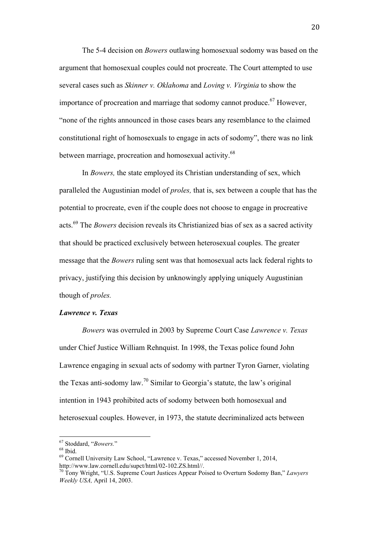The 5-4 decision on *Bowers* outlawing homosexual sodomy was based on the argument that homosexual couples could not procreate. The Court attempted to use several cases such as *Skinner v. Oklahoma* and *Loving v. Virginia* to show the importance of procreation and marriage that sodomy cannot produce.<sup>67</sup> However, "none of the rights announced in those cases bears any resemblance to the claimed constitutional right of homosexuals to engage in acts of sodomy", there was no link between marriage, procreation and homosexual activity.<sup>68</sup>

In *Bowers,* the state employed its Christian understanding of sex, which paralleled the Augustinian model of *proles,* that is, sex between a couple that has the potential to procreate, even if the couple does not choose to engage in procreative acts. 69 The *Bowers* decision reveals its Christianized bias of sex as a sacred activity that should be practiced exclusively between heterosexual couples. The greater message that the *Bowers* ruling sent was that homosexual acts lack federal rights to privacy, justifying this decision by unknowingly applying uniquely Augustinian though of *proles.* 

## *Lawrence v. Texas*

*Bowers* was overruled in 2003 by Supreme Court Case *Lawrence v. Texas*  under Chief Justice William Rehnquist. In 1998, the Texas police found John Lawrence engaging in sexual acts of sodomy with partner Tyron Garner, violating the Texas anti-sodomy law.<sup>70</sup> Similar to Georgia's statute, the law's original intention in 1943 prohibited acts of sodomy between both homosexual and heterosexual couples. However, in 1973, the statute decriminalized acts between

 67 Stoddard, "*Bowers.*" 68 Ibid.

 $^{69}$  Cornell University Law School, "Lawrence v. Texas," accessed November 1, 2014, http://www.law.cornell.edu/supct/html/02-102.ZS.html//.

<sup>&</sup>lt;sup>70</sup> Tony Wright, "U.S. Supreme Court Justices Appear Poised to Overturn Sodomy Ban," *Lawyers Weekly USA,* April 14, 2003.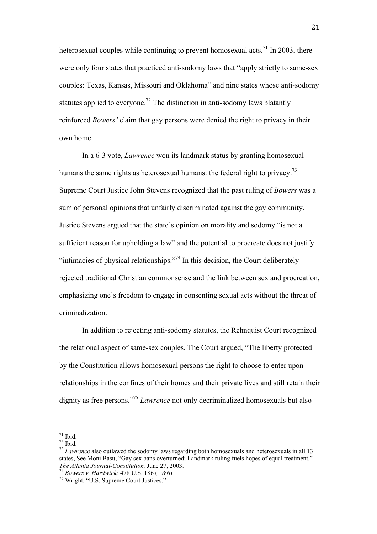heterosexual couples while continuing to prevent homosexual acts.<sup>71</sup> In 2003, there were only four states that practiced anti-sodomy laws that "apply strictly to same-sex couples: Texas, Kansas, Missouri and Oklahoma" and nine states whose anti-sodomy statutes applied to everyone.<sup>72</sup> The distinction in anti-sodomy laws blatantly reinforced *Bowers'* claim that gay persons were denied the right to privacy in their own home.

In a 6-3 vote, *Lawrence* won its landmark status by granting homosexual humans the same rights as heterosexual humans: the federal right to privacy.<sup>73</sup> Supreme Court Justice John Stevens recognized that the past ruling of *Bowers* was a sum of personal opinions that unfairly discriminated against the gay community. Justice Stevens argued that the state's opinion on morality and sodomy "is not a sufficient reason for upholding a law" and the potential to procreate does not justify "intimacies of physical relationships."<sup>74</sup> In this decision, the Court deliberately rejected traditional Christian commonsense and the link between sex and procreation, emphasizing one's freedom to engage in consenting sexual acts without the threat of criminalization.

In addition to rejecting anti-sodomy statutes, the Rehnquist Court recognized the relational aspect of same-sex couples. The Court argued, "The liberty protected by the Constitution allows homosexual persons the right to choose to enter upon relationships in the confines of their homes and their private lives and still retain their dignity as free persons."<sup>75</sup> *Lawrence* not only decriminalized homosexuals but also

 $71$  Ibid.

 $72$  Ibid.

<sup>73</sup> *Lawrence* also outlawed the sodomy laws regarding both homosexuals and heterosexuals in all 13 states, See Moni Basu, "Gay sex bans overturned; Landmark ruling fuels hopes of equal treatment," *The Atlanta Journal-Constitution, June 27, 2003.*<br><sup>74</sup> *Bowers v. Hardwick; 478 U.S. 186 (1986)*<br><sup>75</sup> Wright. "U.S. Supreme Court Justices."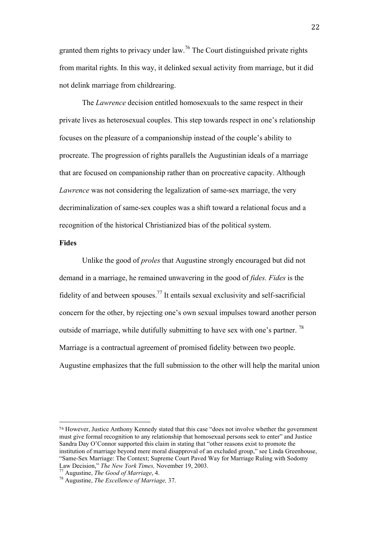granted them rights to privacy under law.<sup>76</sup> The Court distinguished private rights from marital rights. In this way, it delinked sexual activity from marriage, but it did not delink marriage from childrearing.

The *Lawrence* decision entitled homosexuals to the same respect in their private lives as heterosexual couples. This step towards respect in one's relationship focuses on the pleasure of a companionship instead of the couple's ability to procreate. The progression of rights parallels the Augustinian ideals of a marriage that are focused on companionship rather than on procreative capacity. Although *Lawrence* was not considering the legalization of same-sex marriage, the very decriminalization of same-sex couples was a shift toward a relational focus and a recognition of the historical Christianized bias of the political system.

## **Fides**

Unlike the good of *proles* that Augustine strongly encouraged but did not demand in a marriage, he remained unwavering in the good of *fides. Fides* is the fidelity of and between spouses.<sup>77</sup> It entails sexual exclusivity and self-sacrificial concern for the other, by rejecting one's own sexual impulses toward another person outside of marriage, while dutifully submitting to have sex with one's partner. <sup>78</sup> Marriage is a contractual agreement of promised fidelity between two people. Augustine emphasizes that the full submission to the other will help the marital union

<sup>76</sup> However, Justice Anthony Kennedy stated that this case "does not involve whether the government must give formal recognition to any relationship that homosexual persons seek to enter" and Justice Sandra Day O'Connor supported this claim in stating that "other reasons exist to promote the institution of marriage beyond mere moral disapproval of an excluded group," see Linda Greenhouse, "Same-Sex Marriage: The Context; Supreme Court Paved Way for Marriage Ruling with Sodomy Law Decision," *The New York Times,* November 19, 2003. 77 Augustine, *The Good of Marriage*, 4. 78 Augustine, *The Excellence of Marriage,* 37.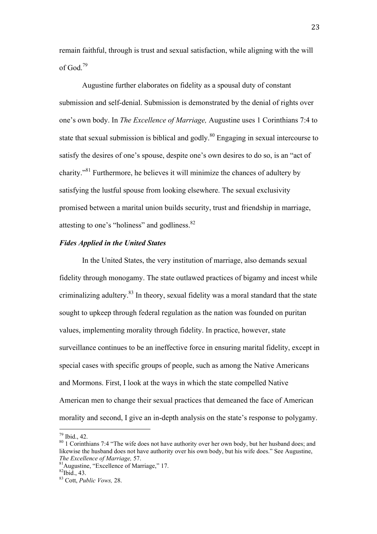remain faithful, through is trust and sexual satisfaction, while aligning with the will of God $^{79}$ 

Augustine further elaborates on fidelity as a spousal duty of constant submission and self-denial. Submission is demonstrated by the denial of rights over one's own body. In *The Excellence of Marriage,* Augustine uses 1 Corinthians 7:4 to state that sexual submission is biblical and godly.<sup>80</sup> Engaging in sexual intercourse to satisfy the desires of one's spouse, despite one's own desires to do so, is an "act of charity."81 Furthermore, he believes it will minimize the chances of adultery by satisfying the lustful spouse from looking elsewhere. The sexual exclusivity promised between a marital union builds security, trust and friendship in marriage, attesting to one's "holiness" and godliness.<sup>82</sup>

## *Fides Applied in the United States*

In the United States, the very institution of marriage, also demands sexual fidelity through monogamy. The state outlawed practices of bigamy and incest while criminalizing adultery.<sup>83</sup> In theory, sexual fidelity was a moral standard that the state sought to upkeep through federal regulation as the nation was founded on puritan values, implementing morality through fidelity. In practice, however, state surveillance continues to be an ineffective force in ensuring marital fidelity, except in special cases with specific groups of people, such as among the Native Americans and Mormons. First, I look at the ways in which the state compelled Native American men to change their sexual practices that demeaned the face of American morality and second, I give an in-depth analysis on the state's response to polygamy.

<sup>&</sup>lt;sup>79</sup> Ibid., 42.<br><sup>80</sup> 1 Corinthians 7:4 "The wife does not have authority over her own body, but her husband does; and likewise the husband does not have authority over his own body, but his wife does." See Augustine, *The Excellence of Marriage, 57.* <sup>81</sup>Augustine, "Excellence of Marriage," 17. <sup>82</sup>Ibid., 43.

<sup>83</sup> Cott, *Public Vows,* 28.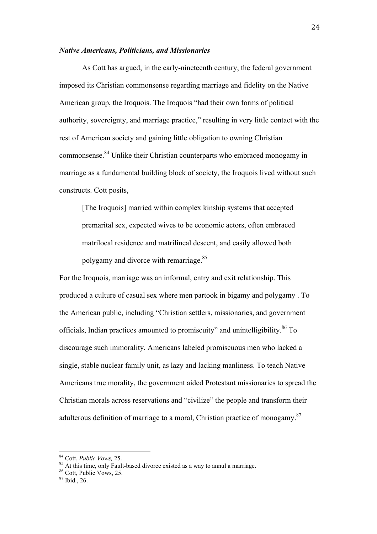#### *Native Americans, Politicians, and Missionaries*

As Cott has argued, in the early-nineteenth century, the federal government imposed its Christian commonsense regarding marriage and fidelity on the Native American group, the Iroquois. The Iroquois "had their own forms of political authority, sovereignty, and marriage practice," resulting in very little contact with the rest of American society and gaining little obligation to owning Christian commonsense.84 Unlike their Christian counterparts who embraced monogamy in marriage as a fundamental building block of society, the Iroquois lived without such constructs. Cott posits,

[The Iroquois] married within complex kinship systems that accepted premarital sex, expected wives to be economic actors, often embraced matrilocal residence and matrilineal descent, and easily allowed both polygamy and divorce with remarriage.<sup>85</sup>

For the Iroquois, marriage was an informal, entry and exit relationship. This produced a culture of casual sex where men partook in bigamy and polygamy . To the American public, including "Christian settlers, missionaries, and government officials, Indian practices amounted to promiscuity" and unintelligibility. $86$  To discourage such immorality, Americans labeled promiscuous men who lacked a single, stable nuclear family unit, as lazy and lacking manliness. To teach Native Americans true morality, the government aided Protestant missionaries to spread the Christian morals across reservations and "civilize" the people and transform their adulterous definition of marriage to a moral, Christian practice of monogamy.<sup>87</sup>

<sup>&</sup>lt;sup>84</sup> Cott, *Public Vows*, 25.<br><sup>85</sup> At this time, only Fault-based divorce existed as a way to annul a marriage.<br><sup>86</sup> Cott, Public Vows, 25.

<sup>87</sup> Ibid., 26.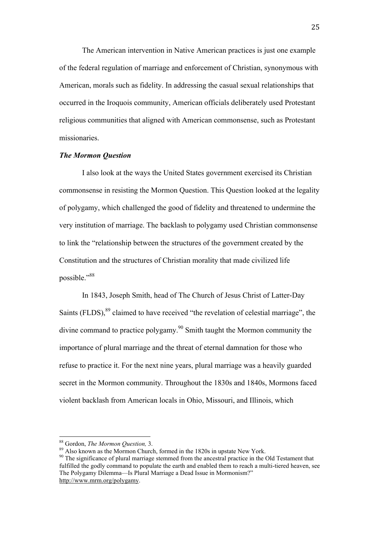The American intervention in Native American practices is just one example of the federal regulation of marriage and enforcement of Christian, synonymous with American, morals such as fidelity. In addressing the casual sexual relationships that occurred in the Iroquois community, American officials deliberately used Protestant religious communities that aligned with American commonsense, such as Protestant missionaries.

#### *The Mormon Question*

I also look at the ways the United States government exercised its Christian commonsense in resisting the Mormon Question. This Question looked at the legality of polygamy, which challenged the good of fidelity and threatened to undermine the very institution of marriage. The backlash to polygamy used Christian commonsense to link the "relationship between the structures of the government created by the Constitution and the structures of Christian morality that made civilized life possible."88

In 1843, Joseph Smith, head of The Church of Jesus Christ of Latter-Day Saints (FLDS),<sup>89</sup> claimed to have received "the revelation of celestial marriage", the divine command to practice polygamy.90 Smith taught the Mormon community the importance of plural marriage and the threat of eternal damnation for those who refuse to practice it. For the next nine years, plural marriage was a heavily guarded secret in the Mormon community. Throughout the 1830s and 1840s, Mormons faced violent backlash from American locals in Ohio, Missouri, and Illinois, which

<sup>90</sup> The significance of plural marriage stemmed from the ancestral practice in the Old Testament that fulfilled the godly command to populate the earth and enabled them to reach a multi-tiered heaven, see The Polygamy Dilemma—Is Plural Marriage a Dead Issue in Mormonism?" http://www.mrm.org/polygamy.

<sup>&</sup>lt;sup>88</sup> Gordon, *The Mormon Question*, 3.<br><sup>89</sup> Also known as the Mormon Church, formed in the 1820s in upstate New York.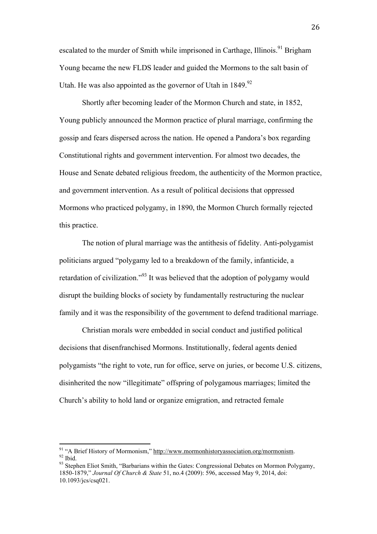escalated to the murder of Smith while imprisoned in Carthage, Illinois.<sup>91</sup> Brigham Young became the new FLDS leader and guided the Mormons to the salt basin of Utah. He was also appointed as the governor of Utah in  $1849.92$ 

Shortly after becoming leader of the Mormon Church and state, in 1852, Young publicly announced the Mormon practice of plural marriage, confirming the gossip and fears dispersed across the nation. He opened a Pandora's box regarding Constitutional rights and government intervention. For almost two decades, the House and Senate debated religious freedom, the authenticity of the Mormon practice, and government intervention. As a result of political decisions that oppressed Mormons who practiced polygamy, in 1890, the Mormon Church formally rejected this practice.

The notion of plural marriage was the antithesis of fidelity. Anti-polygamist politicians argued "polygamy led to a breakdown of the family, infanticide, a retardation of civilization."<sup>93</sup> It was believed that the adoption of polygamy would disrupt the building blocks of society by fundamentally restructuring the nuclear family and it was the responsibility of the government to defend traditional marriage.

Christian morals were embedded in social conduct and justified political decisions that disenfranchised Mormons. Institutionally, federal agents denied polygamists "the right to vote, run for office, serve on juries, or become U.S. citizens, disinherited the now "illegitimate" offspring of polygamous marriages; limited the Church's ability to hold land or organize emigration, and retracted female

<sup>&</sup>lt;sup>91</sup> "A Brief History of Mormonism," <u>http://www.mormonhistoryassociation.org/mormonism</u>.<br><sup>92</sup> Ibid. 93 Stephen Eliot Smith, "Barbarians within the Gates: Congressional Debates on Mormon Polygamy,

<sup>1850-1879,&</sup>quot; *Journal Of Church & State* 51, no.4 (2009): 596, accessed May 9, 2014, doi: 10.1093/jcs/csq021.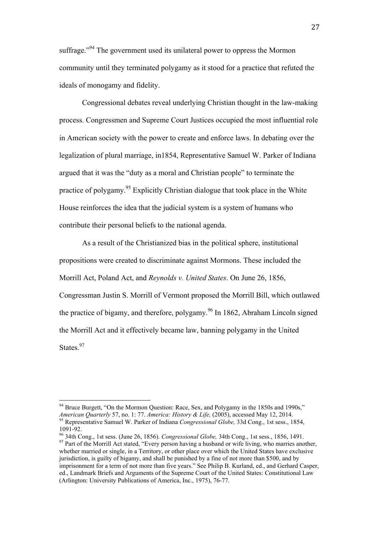suffrage."<sup>94</sup> The government used its unilateral power to oppress the Mormon community until they terminated polygamy as it stood for a practice that refuted the ideals of monogamy and fidelity.

Congressional debates reveal underlying Christian thought in the law-making process. Congressmen and Supreme Court Justices occupied the most influential role in American society with the power to create and enforce laws. In debating over the legalization of plural marriage, in1854, Representative Samuel W. Parker of Indiana argued that it was the "duty as a moral and Christian people" to terminate the practice of polygamy.<sup>95</sup> Explicitly Christian dialogue that took place in the White House reinforces the idea that the judicial system is a system of humans who contribute their personal beliefs to the national agenda.

As a result of the Christianized bias in the political sphere, institutional propositions were created to discriminate against Mormons. These included the Morrill Act, Poland Act, and *Reynolds v. United States*. On June 26, 1856, Congressman Justin S. Morrill of Vermont proposed the Morrill Bill, which outlawed the practice of bigamy, and therefore, polygamy.<sup>96</sup> In 1862, Abraham Lincoln signed the Morrill Act and it effectively became law, banning polygamy in the United States<sup>97</sup>

<sup>&</sup>lt;sup>94</sup> Bruce Burgett, "On the Mormon Question: Race, Sex, and Polygamy in the 1850s and 1990s,"<br>*American Ouarterly* 57, no. 1: 77. *America: History & Life*. (2005), accessed May 12, 2014. <sup>95</sup> Representative Samuel W. Parker of Indiana *Congressional Globe*, 33d Cong., 1st sess., 1854,

<sup>1091-92. 96</sup> 34th Cong., 1st sess. (June 26, 1856). *Congressional Globe,* 34th Cong., 1st sess., 1856, 1491. 97 Part of the Morrill Act stated, "Every person having a husband or wife living, who marries another, whether married or single, in a Territory, or other place over which the United States have exclusive jurisdiction, is guilty of bigamy, and shall be punished by a fine of not more than \$500, and by imprisonment for a term of not more than five years." See Philip B. Kurland, ed., and Gerhard Casper, ed., Landmark Briefs and Arguments of the Supreme Court of the United States: Constitutional Law (Arlington: University Publications of America, Inc., 1975), 76-77.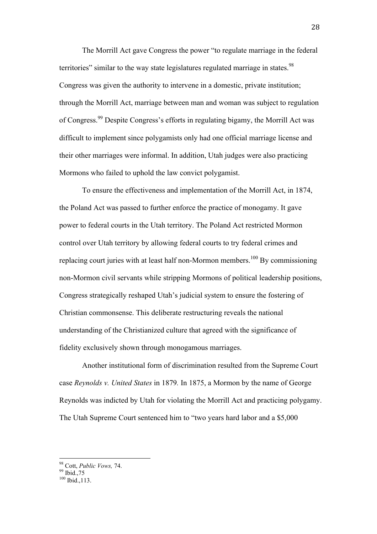The Morrill Act gave Congress the power "to regulate marriage in the federal territories" similar to the way state legislatures regulated marriage in states.<sup>98</sup> Congress was given the authority to intervene in a domestic, private institution; through the Morrill Act, marriage between man and woman was subject to regulation of Congress.99 Despite Congress's efforts in regulating bigamy, the Morrill Act was difficult to implement since polygamists only had one official marriage license and their other marriages were informal. In addition, Utah judges were also practicing Mormons who failed to uphold the law convict polygamist.

To ensure the effectiveness and implementation of the Morrill Act, in 1874, the Poland Act was passed to further enforce the practice of monogamy. It gave power to federal courts in the Utah territory. The Poland Act restricted Mormon control over Utah territory by allowing federal courts to try federal crimes and replacing court juries with at least half non-Mormon members.<sup>100</sup> By commissioning non-Mormon civil servants while stripping Mormons of political leadership positions, Congress strategically reshaped Utah's judicial system to ensure the fostering of Christian commonsense. This deliberate restructuring reveals the national understanding of the Christianized culture that agreed with the significance of fidelity exclusively shown through monogamous marriages.

Another institutional form of discrimination resulted from the Supreme Court case *Reynolds v. United States* in 1879*.* In 1875, a Mormon by the name of George Reynolds was indicted by Utah for violating the Morrill Act and practicing polygamy. The Utah Supreme Court sentenced him to "two years hard labor and a \$5,000

 <sup>98</sup> Cott, *Public Vows,* 74. 99 Ibid.,75

 $100$  Ibid., 113.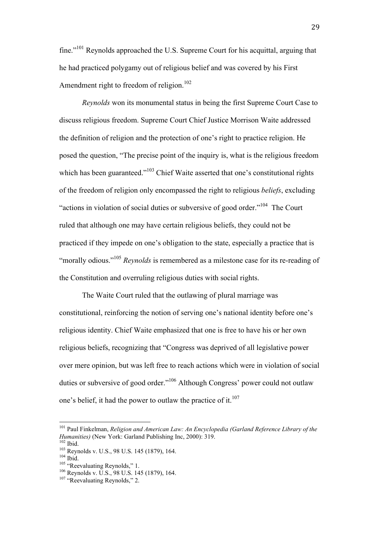fine."101 Reynolds approached the U.S. Supreme Court for his acquittal, arguing that he had practiced polygamy out of religious belief and was covered by his First Amendment right to freedom of religion.<sup>102</sup>

*Reynolds* won its monumental status in being the first Supreme Court Case to discuss religious freedom. Supreme Court Chief Justice Morrison Waite addressed the definition of religion and the protection of one's right to practice religion. He posed the question, "The precise point of the inquiry is, what is the religious freedom which has been guaranteed."<sup>103</sup> Chief Waite asserted that one's constitutional rights of the freedom of religion only encompassed the right to religious *beliefs*, excluding "actions in violation of social duties or subversive of good order."<sup>104</sup> The Court ruled that although one may have certain religious beliefs, they could not be practiced if they impede on one's obligation to the state, especially a practice that is "morally odious."<sup>105</sup> *Reynolds* is remembered as a milestone case for its re-reading of the Constitution and overruling religious duties with social rights.

The Waite Court ruled that the outlawing of plural marriage was constitutional, reinforcing the notion of serving one's national identity before one's religious identity. Chief Waite emphasized that one is free to have his or her own religious beliefs, recognizing that "Congress was deprived of all legislative power over mere opinion, but was left free to reach actions which were in violation of social duties or subversive of good order."106 Although Congress' power could not outlaw one's belief, it had the power to outlaw the practice of it. $107$ 

<sup>&</sup>lt;sup>101</sup> Paul Finkelman, *Religion and American Law: An Encyclopedia (Garland Reference Library of the Humanities)* (New York: Garland Publishing Inc. 2000): 319.

<sup>&</sup>lt;sup>102</sup> Ibid.<br><sup>103</sup> Reynolds v. U.S., 98 U.S. 145 (1879), 164.<br><sup>104</sup> Ibid.<br><sup>105</sup> "Reevaluating Reynolds," 1.<br><sup>106</sup> Reynolds v. U.S., 98 U.S. 145 (1879), 164.<br><sup>107</sup> "Reevaluating Reynolds," 2.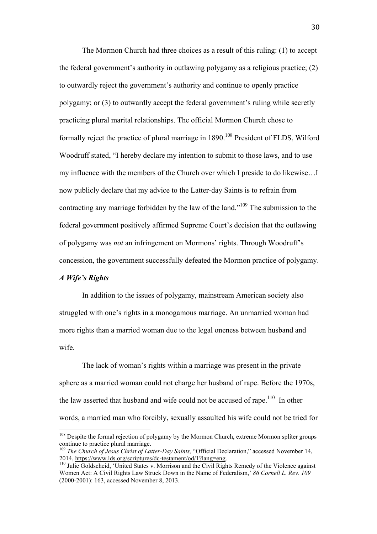The Mormon Church had three choices as a result of this ruling: (1) to accept the federal government's authority in outlawing polygamy as a religious practice; (2) to outwardly reject the government's authority and continue to openly practice polygamy; or (3) to outwardly accept the federal government's ruling while secretly practicing plural marital relationships. The official Mormon Church chose to formally reject the practice of plural marriage in  $1890$ <sup>108</sup> President of FLDS, Wilford Woodruff stated, "I hereby declare my intention to submit to those laws, and to use my influence with the members of the Church over which I preside to do likewise…I now publicly declare that my advice to the Latter-day Saints is to refrain from contracting any marriage forbidden by the law of the land."109 The submission to the federal government positively affirmed Supreme Court's decision that the outlawing of polygamy was *not* an infringement on Mormons' rights. Through Woodruff's concession, the government successfully defeated the Mormon practice of polygamy.

## *A Wife's Rights*

 

In addition to the issues of polygamy, mainstream American society also struggled with one's rights in a monogamous marriage. An unmarried woman had more rights than a married woman due to the legal oneness between husband and wife.

The lack of woman's rights within a marriage was present in the private sphere as a married woman could not charge her husband of rape. Before the 1970s, the law asserted that husband and wife could not be accused of rape.<sup>110</sup> In other words, a married man who forcibly, sexually assaulted his wife could not be tried for

<sup>&</sup>lt;sup>108</sup> Despite the formal rejection of polygamy by the Mormon Church, extreme Mormon spliter groups continue to practice plural marriage.

<sup>&</sup>lt;sup>109</sup> The Church of Jesus Christ of Latter-Day Saints, "Official Declaration," accessed November 14, 2014, https://www.lds.org/scriptures/dc-testament/od/1?lang=eng.<br>
<sup>110</sup> Julie Goldscheid, 'United States v. Morrison and the Civil Rights Remedy of the Violence against

Women Act: A Civil Rights Law Struck Down in the Name of Federalism,' *86 Cornell L. Rev. 109*  (2000-2001): 163, accessed November 8, 2013.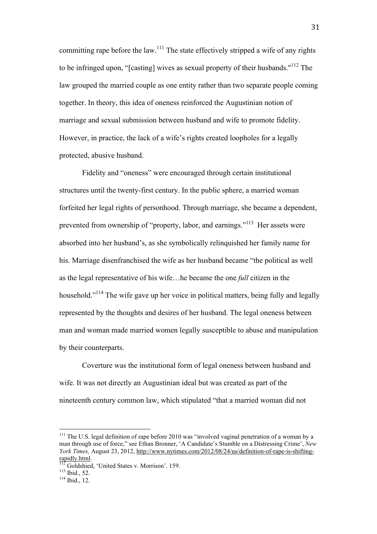committing rape before the law.<sup>111</sup> The state effectively stripped a wife of any rights to be infringed upon, "[casting] wives as sexual property of their husbands."<sup>112</sup> The law grouped the married couple as one entity rather than two separate people coming together. In theory, this idea of oneness reinforced the Augustinian notion of marriage and sexual submission between husband and wife to promote fidelity. However, in practice, the lack of a wife's rights created loopholes for a legally protected, abusive husband.

Fidelity and "oneness" were encouraged through certain institutional structures until the twenty-first century. In the public sphere, a married woman forfeited her legal rights of personhood. Through marriage, she became a dependent, prevented from ownership of "property, labor, and earnings."<sup>113</sup> Her assets were absorbed into her husband's, as she symbolically relinquished her family name for his. Marriage disenfranchised the wife as her husband became "the political as well as the legal representative of his wife…he became the one *full* citizen in the household.<sup>"114</sup> The wife gave up her voice in political matters, being fully and legally represented by the thoughts and desires of her husband. The legal oneness between man and woman made married women legally susceptible to abuse and manipulation by their counterparts.

Coverture was the institutional form of legal oneness between husband and wife. It was not directly an Augustinian ideal but was created as part of the nineteenth century common law, which stipulated "that a married woman did not

<sup>&</sup>lt;sup>111</sup> The U.S. legal definition of rape before 2010 was "involved vaginal penetration of a woman by a man through use of force," see Ethan Bronner, 'A Candidate's Stumble on a Distressing Crime', *New York Times,* August 23, 2012, http://www.nytimes.com/2012/08/24/us/definition-of-rape-is-shiftingrapidly.html.<br><sup>112</sup> Goldshied, 'United States v. Morrison'. 159.<br><sup>113</sup> Ibid., 52.<br><sup>114</sup> Ibid., 12.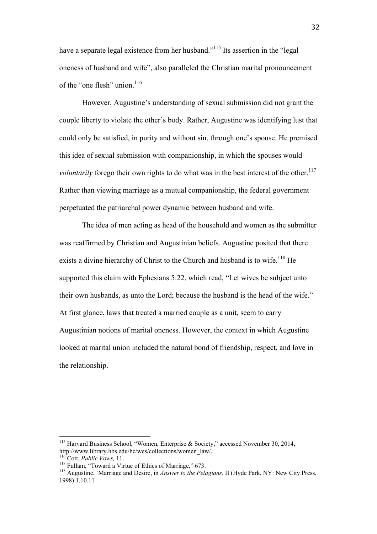have a separate legal existence from her husband."<sup>115</sup> Its assertion in the "legal" oneness of husband and wife", also paralleled the Christian marital pronouncement of the "one flesh" union. $116$ 

However, Augustine's understanding of sexual submission did not grant the couple liberty to violate the other's body. Rather, Augustine was identifying lust that could only be satisfied, in purity and without sin, through one's spouse. He premised this idea of sexual submission with companionship, in which the spouses would *voluntarily* forego their own rights to do what was in the best interest of the other.<sup>117</sup> Rather than viewing marriage as a mutual companionship, the federal government perpetuated the patriarchal power dynamic between husband and wife.

The idea of men acting as head of the household and women as the submitter was reaffirmed by Christian and Augustinian beliefs. Augustine posited that there exists a divine hierarchy of Christ to the Church and husband is to wife.<sup>118</sup> He supported this claim with Ephesians 5:22, which read, "Let wives be subject unto their own husbands, as unto the Lord; because the husband is the head of the wife." At first glance, laws that treated a married couple as a unit, seem to carry Augustinian notions of marital oneness. However, the context in which Augustine looked at marital union included the natural bond of friendship, respect, and love in the relationship.

<sup>&</sup>lt;sup>115</sup> Harvard Business School, "Women, Enterprise & Society," accessed November 30, 2014, http://www.library.hbs.edu/hc/wes/collections/women law/.

<sup>&</sup>lt;sup>116</sup> Cott, *Public Vows*, 11.<br><sup>117</sup> Fullam, "Toward a Virtue of Ethics of Marriage," 673.<br><sup>118</sup> Augustine, 'Marriage and Desire, in *Answer to the Pelagians*, II (Hyde Park, NY: New City Press, 1998) 1.10.11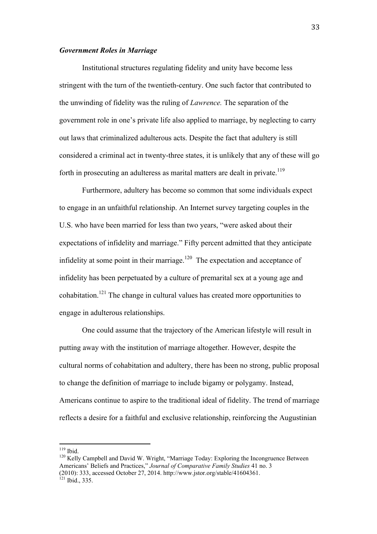#### *Government Roles in Marriage*

Institutional structures regulating fidelity and unity have become less stringent with the turn of the twentieth-century. One such factor that contributed to the unwinding of fidelity was the ruling of *Lawrence.* The separation of the government role in one's private life also applied to marriage, by neglecting to carry out laws that criminalized adulterous acts. Despite the fact that adultery is still considered a criminal act in twenty-three states, it is unlikely that any of these will go forth in prosecuting an adulteress as marital matters are dealt in private.<sup>119</sup>

Furthermore, adultery has become so common that some individuals expect to engage in an unfaithful relationship. An Internet survey targeting couples in the U.S. who have been married for less than two years, "were asked about their expectations of infidelity and marriage." Fifty percent admitted that they anticipate infidelity at some point in their marriage.<sup>120</sup> The expectation and acceptance of infidelity has been perpetuated by a culture of premarital sex at a young age and cohabitation.<sup>121</sup> The change in cultural values has created more opportunities to engage in adulterous relationships.

One could assume that the trajectory of the American lifestyle will result in putting away with the institution of marriage altogether. However, despite the cultural norms of cohabitation and adultery, there has been no strong, public proposal to change the definition of marriage to include bigamy or polygamy. Instead, Americans continue to aspire to the traditional ideal of fidelity. The trend of marriage reflects a desire for a faithful and exclusive relationship, reinforcing the Augustinian

<sup>&</sup>lt;sup>119</sup> Ibid.<br><sup>120</sup> Kelly Campbell and David W. Wright, "Marriage Today: Exploring the Incongruence Between Americans' Beliefs and Practices," *Journal of Comparative Family Studies* 41 no. 3 (2010): 333, accessed October 27, 2014. http://www.jstor.org/stable/41604361. 121 Ibid., 335.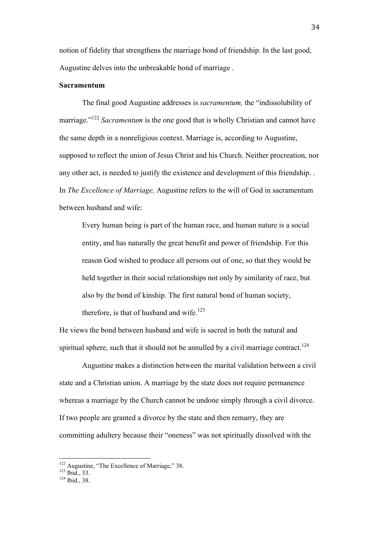notion of fidelity that strengthens the marriage bond of friendship. In the last good, Augustine delves into the unbreakable bond of marriage .

## **Sacramentum**

The final good Augustine addresses is *sacramentum,* the "indissolubility of marriage."<sup>122</sup> *Sacramentum* is the one good that is wholly Christian and cannot have the same depth in a nonreligious context. Marriage is, according to Augustine, supposed to reflect the union of Jesus Christ and his Church. Neither procreation, nor any other act, is needed to justify the existence and development of this friendship. . In *The Excellence of Marriage,* Augustine refers to the will of God in sacramentum between husband and wife:

Every human being is part of the human race, and human nature is a social entity, and has naturally the great benefit and power of friendship. For this reason God wished to produce all persons out of one, so that they would be held together in their social relationships not only by similarity of race, but also by the bond of kinship. The first natural bond of human society, therefore, is that of husband and wife.<sup>123</sup>

He views the bond between husband and wife is sacred in both the natural and spiritual sphere, such that it should not be annulled by a civil marriage contract.<sup>124</sup>

Augustine makes a distinction between the marital validation between a civil state and a Christian union. A marriage by the state does not require permanence whereas a marriage by the Church cannot be undone simply through a civil divorce. If two people are granted a divorce by the state and then remarry, they are committing adultery because their "oneness" was not spiritually dissolved with the

<sup>&</sup>lt;sup>122</sup> Augustine, "The Excellence of Marriage," 38.<br><sup>123</sup> Ibid., 33.<br><sup>124</sup> Ibid., 38.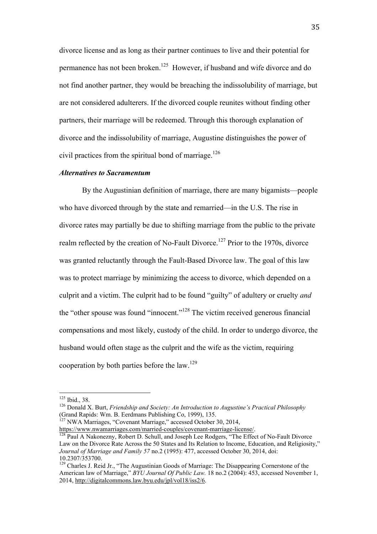divorce license and as long as their partner continues to live and their potential for permanence has not been broken.125 However, if husband and wife divorce and do not find another partner, they would be breaching the indissolubility of marriage, but are not considered adulterers. If the divorced couple reunites without finding other partners, their marriage will be redeemed. Through this thorough explanation of divorce and the indissolubility of marriage, Augustine distinguishes the power of civil practices from the spiritual bond of marriage.<sup>126</sup>

## *Alternatives to Sacramentum*

By the Augustinian definition of marriage, there are many bigamists—people who have divorced through by the state and remarried—in the U.S. The rise in divorce rates may partially be due to shifting marriage from the public to the private realm reflected by the creation of No-Fault Divorce.<sup>127</sup> Prior to the 1970s, divorce was granted reluctantly through the Fault-Based Divorce law. The goal of this law was to protect marriage by minimizing the access to divorce, which depended on a culprit and a victim. The culprit had to be found "guilty" of adultery or cruelty *and*  the "other spouse was found "innocent."<sup>128</sup> The victim received generous financial compensations and most likely, custody of the child. In order to undergo divorce, the husband would often stage as the culprit and the wife as the victim, requiring cooperation by both parties before the  $law$ .<sup>129</sup>

 

https://www.nwamarriages.com/married-couples/covenant-marriage-license/.<br><sup>128</sup> Paul A Nakonezny, Robert D. Schull, and Joseph Lee Rodgers, "The Effect of No-Fault Divorce

<sup>&</sup>lt;sup>125</sup> Ibid., 38.<br><sup>126</sup> Donald X. Burt, *Friendship and Society: An Introduction to Augustine's Practical Philosophy* (Grand Rapids: Wm. B. Eerdmans Publishing Co, 1999), 135.<br><sup>127</sup> NWA Marriages, "Covenant Marriage," accessed October 30, 2014,

Law on the Divorce Rate Across the 50 States and Its Relation to Income, Education, and Religiosity," *Journal of Marriage and Family 57* no.2 (1995): 477, accessed October 30, 2014, doi: 10.2307/353700.

<sup>&</sup>lt;sup>129</sup> Charles J. Reid Jr., "The Augustinian Goods of Marriage: The Disappearing Cornerstone of the American law of Marriage," *BYU Journal Of Public Law.* 18 no.2 (2004): 453, accessed November 1, 2014, http://digitalcommons.law.byu.edu/jpl/vol18/iss2/6.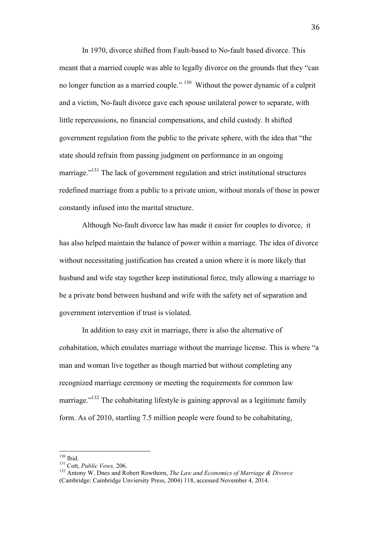In 1970, divorce shifted from Fault-based to No-fault based divorce. This meant that a married couple was able to legally divorce on the grounds that they "can no longer function as a married couple." <sup>130</sup> Without the power dynamic of a culprit and a victim, No-fault divorce gave each spouse unilateral power to separate, with little repercussions, no financial compensations, and child custody. It shifted government regulation from the public to the private sphere, with the idea that "the state should refrain from passing judgment on performance in an ongoing marriage."<sup>131</sup> The lack of government regulation and strict institutional structures redefined marriage from a public to a private union, without morals of those in power constantly infused into the marital structure.

Although No-fault divorce law has made it easier for couples to divorce, it has also helped maintain the balance of power within a marriage. The idea of divorce without necessitating justification has created a union where it is more likely that husband and wife stay together keep institutional force, truly allowing a marriage to be a private bond between husband and wife with the safety net of separation and government intervention if trust is violated.

In addition to easy exit in marriage, there is also the alternative of cohabitation, which emulates marriage without the marriage license. This is where "a man and woman live together as though married but without completing any recognized marriage ceremony or meeting the requirements for common law marriage."<sup> $132$ </sup> The cohabitating lifestyle is gaining approval as a legitimate family form. As of 2010, startling 7.5 million people were found to be cohabitating,

<sup>130</sup> Ibid.<br><sup>131</sup> Cott, *Public Vows*, 206.<br><sup>132</sup> Antony W. Dnes and Robert Rowthorn, *The Law and Economics of Marriage & Divorce* (Cambridge: Cambridge Unviersity Press, 2004) 118, accessed November 4, 2014.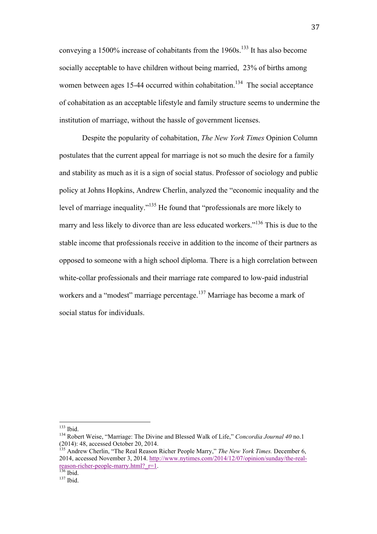conveying a  $1500\%$  increase of cohabitants from the  $1960s$ .<sup>133</sup> It has also become socially acceptable to have children without being married, 23% of births among women between ages 15-44 occurred within cohabitation.<sup>134</sup> The social acceptance of cohabitation as an acceptable lifestyle and family structure seems to undermine the institution of marriage, without the hassle of government licenses.

Despite the popularity of cohabitation, *The New York Times* Opinion Column postulates that the current appeal for marriage is not so much the desire for a family and stability as much as it is a sign of social status. Professor of sociology and public policy at Johns Hopkins, Andrew Cherlin, analyzed the "economic inequality and the level of marriage inequality."<sup>135</sup> He found that "professionals are more likely to marry and less likely to divorce than are less educated workers."<sup>136</sup> This is due to the stable income that professionals receive in addition to the income of their partners as opposed to someone with a high school diploma. There is a high correlation between white-collar professionals and their marriage rate compared to low-paid industrial workers and a "modest" marriage percentage.<sup>137</sup> Marriage has become a mark of social status for individuals.

<sup>&</sup>lt;sup>133</sup> Ibid.<br><sup>134</sup> Robert Weise, "Marriage: The Divine and Blessed Walk of Life," *Concordia Journal 40* no.1 (2014): 48, accessed October 20, 2014.

<sup>135</sup> Andrew Cherlin, "The Real Reason Richer People Marry," *The New York Times.* December 6, 2014, accessed November 3, 2014. http://www.nytimes.com/2014/12/07/opinion/sunday/the-realreason-richer-people-marry.html? $r=1$ .<br>
<sup>136</sup> Ibid. <sup>137</sup> Ibid.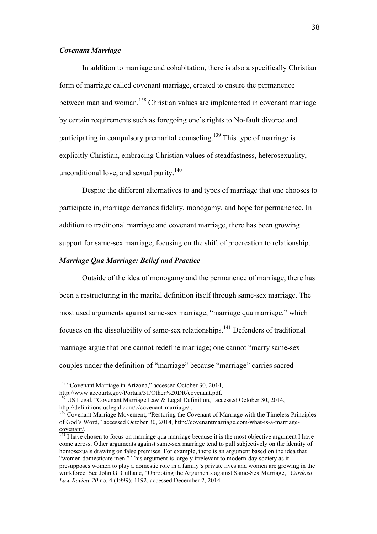## *Covenant Marriage*

In addition to marriage and cohabitation, there is also a specifically Christian form of marriage called covenant marriage, created to ensure the permanence between man and woman.<sup>138</sup> Christian values are implemented in covenant marriage by certain requirements such as foregoing one's rights to No-fault divorce and participating in compulsory premarital counseling.<sup>139</sup> This type of marriage is explicitly Christian, embracing Christian values of steadfastness, heterosexuality, unconditional love, and sexual purity. $140$ 

Despite the different alternatives to and types of marriage that one chooses to participate in, marriage demands fidelity, monogamy, and hope for permanence. In addition to traditional marriage and covenant marriage, there has been growing support for same-sex marriage, focusing on the shift of procreation to relationship.

## *Marriage Qua Marriage: Belief and Practice*

Outside of the idea of monogamy and the permanence of marriage, there has been a restructuring in the marital definition itself through same-sex marriage. The most used arguments against same-sex marriage, "marriage qua marriage," which focuses on the dissolubility of same-sex relationships.141 Defenders of traditional marriage argue that one cannot redefine marriage; one cannot "marry same-sex couples under the definition of "marriage" because "marriage" carries sacred

<sup>&</sup>lt;sup>138</sup> "Covenant Marriage in Arizona," accessed October 30, 2014, http://www.azcourts.gov/Portals/31/Other%20DR/covenant.pdf.

 $\frac{139}{139}$  US Legal, "Covenant Marriage Law & Legal Definition," accessed October 30, 2014, http://definitions.uslegal.com/c/covenant-marriage/ .<br><sup>140</sup> Covenant Marriage Movement, "Restoring the Covenant of Marriage with the Timeless Principles

of God's Word," accessed October 30, 2014, http://covenantmarriage.com/what-is-a-marriagecovenant/.<br><sup>141</sup> I have chosen to focus on marriage qua marriage because it is the most objective argument I have

come across. Other arguments against same-sex marriage tend to pull subjectively on the identity of homosexuals drawing on false premises. For example, there is an argument based on the idea that "women domesticate men." This argument is largely irrelevant to modern-day society as it presupposes women to play a domestic role in a family's private lives and women are growing in the workforce. See John G. Culhane, "Uprooting the Arguments against Same-Sex Marriage," *Cardozo Law Review 20* no. 4 (1999): 1192, accessed December 2, 2014.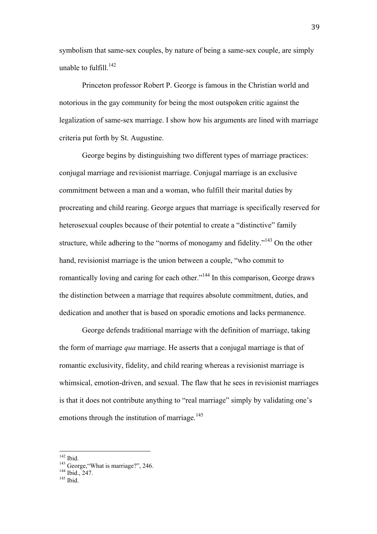symbolism that same-sex couples, by nature of being a same-sex couple, are simply unable to fulfill  $^{142}$ 

Princeton professor Robert P. George is famous in the Christian world and notorious in the gay community for being the most outspoken critic against the legalization of same-sex marriage. I show how his arguments are lined with marriage criteria put forth by St. Augustine.

George begins by distinguishing two different types of marriage practices: conjugal marriage and revisionist marriage. Conjugal marriage is an exclusive commitment between a man and a woman, who fulfill their marital duties by procreating and child rearing. George argues that marriage is specifically reserved for heterosexual couples because of their potential to create a "distinctive" family structure, while adhering to the "norms of monogamy and fidelity."<sup>143</sup> On the other hand, revisionist marriage is the union between a couple, "who commit to romantically loving and caring for each other."<sup>144</sup> In this comparison, George draws the distinction between a marriage that requires absolute commitment, duties, and dedication and another that is based on sporadic emotions and lacks permanence.

George defends traditional marriage with the definition of marriage, taking the form of marriage *qua* marriage. He asserts that a conjugal marriage is that of romantic exclusivity, fidelity, and child rearing whereas a revisionist marriage is whimsical, emotion-driven, and sexual. The flaw that he sees in revisionist marriages is that it does not contribute anything to "real marriage" simply by validating one's emotions through the institution of marriage.<sup>145</sup>

<sup>&</sup>lt;sup>142</sup> Ibid. 143 George, "What is marriage?", 246.<br><sup>144</sup> Ibid., 247.<br><sup>145</sup> Ibid.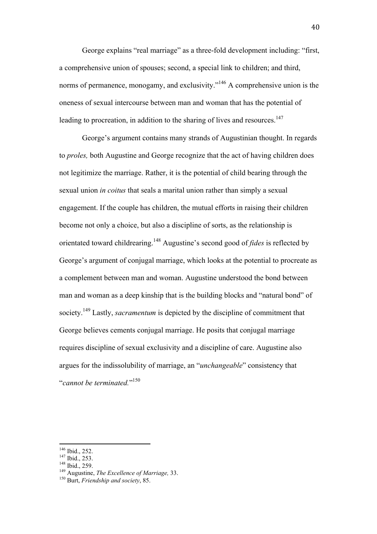George explains "real marriage" as a three-fold development including: "first, a comprehensive union of spouses; second, a special link to children; and third, norms of permanence, monogamy, and exclusivity."<sup>146</sup> A comprehensive union is the oneness of sexual intercourse between man and woman that has the potential of leading to procreation, in addition to the sharing of lives and resources.<sup>147</sup>

George's argument contains many strands of Augustinian thought. In regards to *proles,* both Augustine and George recognize that the act of having children does not legitimize the marriage. Rather, it is the potential of child bearing through the sexual union *in coitus* that seals a marital union rather than simply a sexual engagement. If the couple has children, the mutual efforts in raising their children become not only a choice, but also a discipline of sorts, as the relationship is orientated toward childrearing.148 Augustine's second good of *fides* is reflected by George's argument of conjugal marriage, which looks at the potential to procreate as a complement between man and woman. Augustine understood the bond between man and woman as a deep kinship that is the building blocks and "natural bond" of society.<sup>149</sup> Lastly, *sacramentum* is depicted by the discipline of commitment that George believes cements conjugal marriage. He posits that conjugal marriage requires discipline of sexual exclusivity and a discipline of care. Augustine also argues for the indissolubility of marriage, an "*unchangeable*" consistency that "*cannot be terminated.*" 150

<sup>&</sup>lt;sup>146</sup> Ibid., 252.<br><sup>147</sup> Ibid., 253.<br><sup>148</sup> Ibid., 259.<br><sup>149</sup> Augustine, *The Excellence of Marriage*, 33.<br><sup>150</sup> Burt. *Friendship and society*, 85.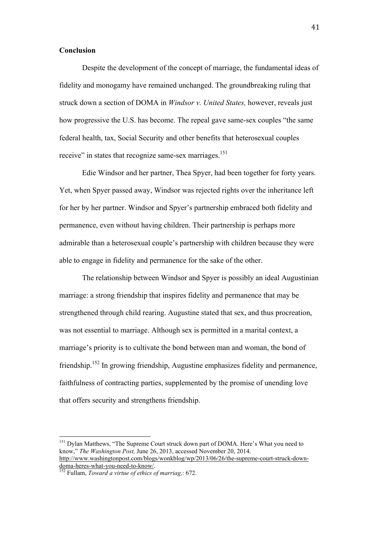#### **Conclusion**

Despite the development of the concept of marriage, the fundamental ideas of fidelity and monogamy have remained unchanged. The groundbreaking ruling that struck down a section of DOMA in *Windsor v. United States,* however, reveals just how progressive the U.S. has become. The repeal gave same-sex couples "the same federal health, tax, Social Security and other benefits that heterosexual couples receive" in states that recognize same-sex marriages.<sup>151</sup>

Edie Windsor and her partner, Thea Spyer, had been together for forty years. Yet, when Spyer passed away, Windsor was rejected rights over the inheritance left for her by her partner. Windsor and Spyer's partnership embraced both fidelity and permanence, even without having children. Their partnership is perhaps more admirable than a heterosexual couple's partnership with children because they were able to engage in fidelity and permanence for the sake of the other.

The relationship between Windsor and Spyer is possibly an ideal Augustinian marriage: a strong friendship that inspires fidelity and permanence that may be strengthened through child rearing. Augustine stated that sex, and thus procreation, was not essential to marriage. Although sex is permitted in a marital context, a marriage's priority is to cultivate the bond between man and woman, the bond of friendship.152 In growing friendship, Augustine emphasizes fidelity and permanence, faithfulness of contracting parties, supplemented by the promise of unending love that offers security and strengthens friendship.

<sup>&</sup>lt;sup>151</sup> Dylan Matthews, "The Supreme Court struck down part of DOMA. Here's What you need to know," *The Washington Post,* June 26, 2013, accessed November 20, 2014. http://www.washingtonpost.com/blogs/wonkblog/wp/2013/06/26/the-supreme-court-struck-down-

doma-heres-what-you-need-to-know/. 152 Fullam, *Toward a virtue of ethics of marriag,*: 672.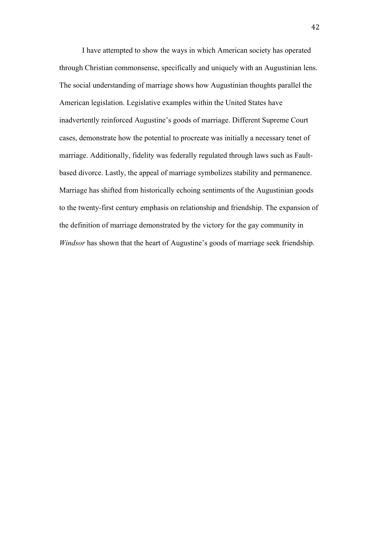I have attempted to show the ways in which American society has operated through Christian commonsense, specifically and uniquely with an Augustinian lens. The social understanding of marriage shows how Augustinian thoughts parallel the American legislation. Legislative examples within the United States have inadvertently reinforced Augustine's goods of marriage. Different Supreme Court cases, demonstrate how the potential to procreate was initially a necessary tenet of marriage. Additionally, fidelity was federally regulated through laws such as Faultbased divorce. Lastly, the appeal of marriage symbolizes stability and permanence. Marriage has shifted from historically echoing sentiments of the Augustinian goods to the twenty-first century emphasis on relationship and friendship. The expansion of the definition of marriage demonstrated by the victory for the gay community in *Windsor* has shown that the heart of Augustine's goods of marriage seek friendship.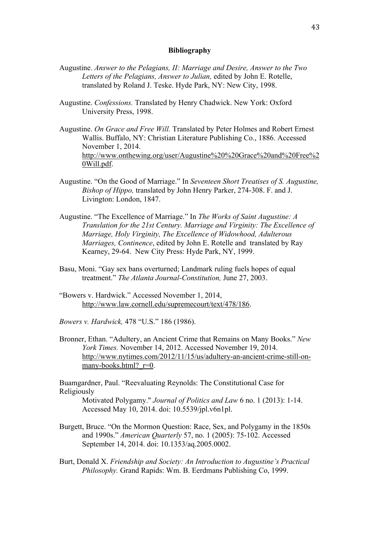#### **Bibliography**

- Augustine. *Answer to the Pelagians, II: Marriage and Desire, Answer to the Two Letters of the Pelagians, Answer to Julian,* edited by John E. Rotelle, translated by Roland J. Teske. Hyde Park, NY: New City, 1998.
- Augustine. *Confessions.* Translated by Henry Chadwick. New York: Oxford University Press, 1998.
- Augustine. *On Grace and Free Will.* Translated by Peter Holmes and Robert Ernest Wallis. Buffalo, NY: Christian Literature Publishing Co., 1886. Accessed November 1, 2014. http://www.onthewing.org/user/Augustine%20%20Grace%20and%20Free%2 0Will.pdf.
- Augustine. "On the Good of Marriage." In *Seventeen Short Treatises of S. Augustine, Bishop of Hippo,* translated by John Henry Parker, 274-308. F. and J. Livington: London, 1847.
- Augustine. "The Excellence of Marriage." In *The Works of Saint Augustine: A Translation for the 21st Century. Marriage and Virginity: The Excellence of Marriage, Holy Virginity, The Excellence of Widowhood, Adulterous Marriages, Continence*, edited by John E. Rotelle and translated by Ray Kearney, 29-64. New City Press: Hyde Park, NY, 1999.
- Basu, Moni. "Gay sex bans overturned; Landmark ruling fuels hopes of equal treatment." *The Atlanta Journal-Constitution,* June 27, 2003.
- "Bowers v. Hardwick." Accessed November 1, 2014, http://www.law.cornell.edu/supremecourt/text/478/186.
- *Bowers v. Hardwick,* 478 "U.S." 186 (1986).
- Bronner, Ethan. "Adultery, an Ancient Crime that Remains on Many Books." *New York Times.* November 14, 2012. Accessed November 19, 2014. http://www.nytimes.com/2012/11/15/us/adultery-an-ancient-crime-still-onmany-books.html? $r=0$ .

Buamgardner, Paul. "Reevaluating Reynolds: The Constitutional Case for Religiously

Motivated Polygamy." *Journal of Politics and Law* 6 no. 1 (2013): 1-14. Accessed May 10, 2014. doi: 10.5539/jpl.v6n1pl.

- Burgett, Bruce. "On the Mormon Question: Race, Sex, and Polygamy in the 1850s and 1990s." *American Quarterly* 57, no. 1 (2005): 75-102. Accessed September 14, 2014. doi: 10.1353/aq.2005.0002.
- Burt, Donald X. *Friendship and Society: An Introduction to Augustine's Practical Philosophy.* Grand Rapids: Wm. B. Eerdmans Publishing Co, 1999.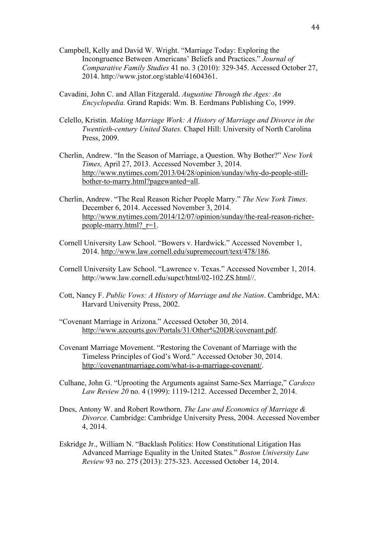- Campbell, Kelly and David W. Wright. "Marriage Today: Exploring the Incongruence Between Americans' Beliefs and Practices." *Journal of Comparative Family Studies* 41 no. 3 (2010): 329-345. Accessed October 27, 2014. http://www.jstor.org/stable/41604361.
- Cavadini, John C. and Allan Fitzgerald. *Augustine Through the Ages: An Encyclopedia.* Grand Rapids: Wm. B. Eerdmans Publishing Co, 1999.
- Celello, Kristin. *Making Marriage Work: A History of Marriage and Divorce in the Twentieth-century United States.* Chapel Hill: University of North Carolina Press, 2009.
- Cherlin, Andrew. "In the Season of Marriage, a Question. Why Bother?" *New York Times,* April 27, 2013. Accessed November 3, 2014. http://www.nytimes.com/2013/04/28/opinion/sunday/why-do-people-stillbother-to-marry.html?pagewanted=all.
- Cherlin, Andrew. "The Real Reason Richer People Marry." *The New York Times.*  December 6, 2014. Accessed November 3, 2014. http://www.nytimes.com/2014/12/07/opinion/sunday/the-real-reason-richerpeople-marry.html?\_r=1.
- Cornell University Law School. "Bowers v. Hardwick." Accessed November 1, 2014. http://www.law.cornell.edu/supremecourt/text/478/186.
- Cornell University Law School. "Lawrence v. Texas." Accessed November 1, 2014. http://www.law.cornell.edu/supct/html/02-102.ZS.html//.
- Cott, Nancy F. *Public Vows: A History of Marriage and the Nation*. Cambridge, MA: Harvard University Press, 2002.
- "Covenant Marriage in Arizona." Accessed October 30, 2014. http://www.azcourts.gov/Portals/31/Other%20DR/covenant.pdf.
- Covenant Marriage Movement. "Restoring the Covenant of Marriage with the Timeless Principles of God's Word." Accessed October 30, 2014. http://covenantmarriage.com/what-is-a-marriage-covenant/.
- Culhane, John G. "Uprooting the Arguments against Same-Sex Marriage," *Cardozo Law Review 20* no. 4 (1999): 1119-1212. Accessed December 2, 2014.
- Dnes, Antony W. and Robert Rowthorn. *The Law and Economics of Marriage & Divorce.* Cambridge: Cambridge University Press, 2004. Accessed November 4, 2014.
- Eskridge Jr., William N. "Backlash Politics: How Constitutional Litigation Has Advanced Marriage Equality in the United States." *Boston University Law Review* 93 no. 275 (2013): 275-323. Accessed October 14, 2014.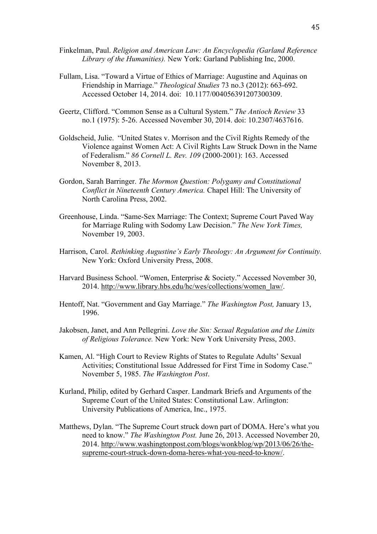- Finkelman, Paul. *Religion and American Law: An Encyclopedia (Garland Reference Library of the Humanities).* New York: Garland Publishing Inc, 2000.
- Fullam, Lisa. "Toward a Virtue of Ethics of Marriage: Augustine and Aquinas on Friendship in Marriage." *Theological Studies* 73 no.3 (2012): 663-692. Accessed October 14, 2014. doi: 10.1177/004056391207300309.
- Geertz, Clifford. "Common Sense as a Cultural System." *The Antioch Review* 33 no.1 (1975): 5-26. Accessed November 30, 2014. doi: 10.2307/4637616.
- Goldscheid, Julie. "United States v. Morrison and the Civil Rights Remedy of the Violence against Women Act: A Civil Rights Law Struck Down in the Name of Federalism." *86 Cornell L. Rev. 109* (2000-2001): 163. Accessed November 8, 2013.
- Gordon, Sarah Barringer. *The Mormon Question: Polygamy and Constitutional Conflict in Nineteenth Century America.* Chapel Hill: The University of North Carolina Press, 2002.
- Greenhouse, Linda. "Same-Sex Marriage: The Context; Supreme Court Paved Way for Marriage Ruling with Sodomy Law Decision." *The New York Times,*  November 19, 2003.
- Harrison, Carol. *Rethinking Augustine's Early Theology: An Argument for Continuity.* New York: Oxford University Press, 2008.
- Harvard Business School. "Women, Enterprise & Society." Accessed November 30, 2014. http://www.library.hbs.edu/hc/wes/collections/women\_law/.
- Hentoff, Nat. "Government and Gay Marriage." *The Washington Post,* January 13, 1996.
- Jakobsen, Janet, and Ann Pellegrini. *Love the Sin: Sexual Regulation and the Limits of Religious Tolerance.* New York: New York University Press, 2003.
- Kamen, Al. "High Court to Review Rights of States to Regulate Adults' Sexual Activities; Constitutional Issue Addressed for First Time in Sodomy Case." November 5, 1985. *The Washington Post*.
- Kurland, Philip, edited by Gerhard Casper. Landmark Briefs and Arguments of the Supreme Court of the United States: Constitutional Law. Arlington: University Publications of America, Inc., 1975.
- Matthews, Dylan. "The Supreme Court struck down part of DOMA. Here's what you need to know." *The Washington Post.* June 26, 2013. Accessed November 20, 2014. http://www.washingtonpost.com/blogs/wonkblog/wp/2013/06/26/thesupreme-court-struck-down-doma-heres-what-you-need-to-know/.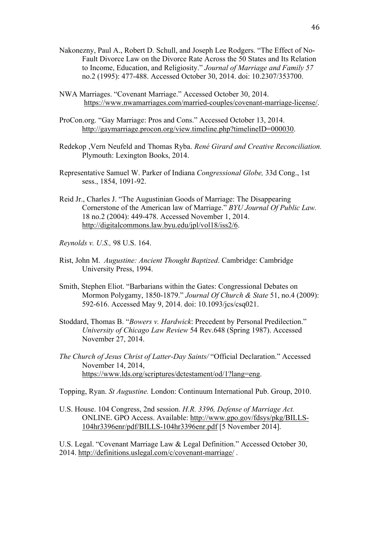- Nakonezny, Paul A., Robert D. Schull, and Joseph Lee Rodgers. "The Effect of No-Fault Divorce Law on the Divorce Rate Across the 50 States and Its Relation to Income, Education, and Religiosity." *Journal of Marriage and Family 57* no.2 (1995): 477-488. Accessed October 30, 2014. doi: 10.2307/353700.
- NWA Marriages. "Covenant Marriage." Accessed October 30, 2014. https://www.nwamarriages.com/married-couples/covenant-marriage-license/.
- ProCon.org. "Gay Marriage: Pros and Cons." Accessed October 13, 2014. http://gaymarriage.procon.org/view.timeline.php?timelineID=000030.
- Redekop ,Vern Neufeld and Thomas Ryba. *René Girard and Creative Reconciliation.*  Plymouth: Lexington Books, 2014.
- Representative Samuel W. Parker of Indiana *Congressional Globe,* 33d Cong., 1st sess., 1854, 1091-92.
- Reid Jr., Charles J. "The Augustinian Goods of Marriage: The Disappearing Cornerstone of the American law of Marriage." *BYU Journal Of Public Law.*  18 no.2 (2004): 449-478. Accessed November 1, 2014. http://digitalcommons.law.byu.edu/jpl/vol18/iss2/6.
- *Reynolds v. U.S.,* 98 U.S. 164.
- Rist, John M. *Augustine: Ancient Thought Baptized*. Cambridge: Cambridge University Press, 1994.
- Smith, Stephen Eliot. "Barbarians within the Gates: Congressional Debates on Mormon Polygamy, 1850-1879." *Journal Of Church & State* 51, no.4 (2009): 592-616. Accessed May 9, 2014. doi: 10.1093/jcs/csq021.
- Stoddard, Thomas B. "*Bowers v. Hardwick*: Precedent by Personal Predilection." *University of Chicago Law Review* 54 Rev.648 (Spring 1987). Accessed November 27, 2014.
- *The Church of Jesus Christ of Latter-Day Saints/* "Official Declaration." Accessed November 14, 2014, https://www.lds.org/scriptures/dctestament/od/1?lang=eng.

Topping, Ryan. *St Augustine.* London: Continuum International Pub. Group, 2010.

U.S. House. 104 Congress, 2nd session. *H.R. 3396, Defense of Marriage Act.*  ONLINE. GPO Access. Available: http://www.gpo.gov/fdsys/pkg/BILLS-104hr3396enr/pdf/BILLS-104hr3396enr.pdf [5 November 2014].

U.S. Legal. "Covenant Marriage Law & Legal Definition." Accessed October 30, 2014. http://definitions.uslegal.com/c/covenant-marriage/ .